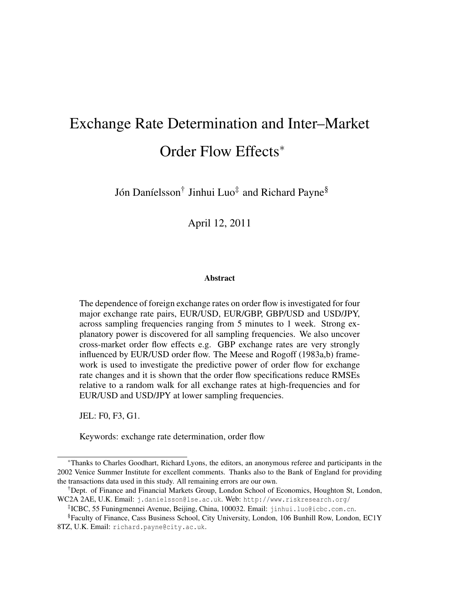# Exchange Rate Determination and Inter–Market Order Flow Effects<sup>∗</sup>

Jón Daníelsson<sup>†</sup> Jinhui Luo‡ and Richard Payne<sup>§</sup>

April 12, 2011

#### Abstract

The dependence of foreign exchange rates on order flow is investigated for four major exchange rate pairs, EUR/USD, EUR/GBP, GBP/USD and USD/JPY, across sampling frequencies ranging from 5 minutes to 1 week. Strong explanatory power is discovered for all sampling frequencies. We also uncover cross-market order flow effects e.g. GBP exchange rates are very strongly influenced by EUR/USD order flow. The Meese and Rogoff (1983a,b) framework is used to investigate the predictive power of order flow for exchange rate changes and it is shown that the order flow specifications reduce RMSEs relative to a random walk for all exchange rates at high-frequencies and for EUR/USD and USD/JPY at lower sampling frequencies.

JEL: F0, F3, G1.

Keywords: exchange rate determination, order flow

<sup>∗</sup>Thanks to Charles Goodhart, Richard Lyons, the editors, an anonymous referee and participants in the 2002 Venice Summer Institute for excellent comments. Thanks also to the Bank of England for providing the transactions data used in this study. All remaining errors are our own.

<sup>†</sup>Dept. of Finance and Financial Markets Group, London School of Economics, Houghton St, London, WC2A 2AE, U.K. Email: j.danielsson@lse.ac.uk. Web: http://www.riskresearch.org/

<sup>‡</sup> ICBC, 55 Funingmennei Avenue, Beijing, China, 100032. Email: jinhui.luo@icbc.com.cn.

<sup>§</sup>Faculty of Finance, Cass Business School, City University, London, 106 Bunhill Row, London, EC1Y 8TZ, U.K. Email: richard.payne@city.ac.uk.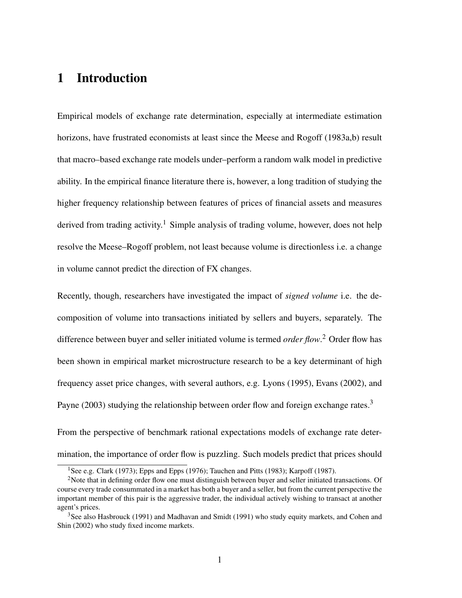# 1 Introduction

Empirical models of exchange rate determination, especially at intermediate estimation horizons, have frustrated economists at least since the Meese and Rogoff (1983a,b) result that macro–based exchange rate models under–perform a random walk model in predictive ability. In the empirical finance literature there is, however, a long tradition of studying the higher frequency relationship between features of prices of financial assets and measures derived from trading activity.<sup>1</sup> Simple analysis of trading volume, however, does not help resolve the Meese–Rogoff problem, not least because volume is directionless i.e. a change in volume cannot predict the direction of FX changes.

Recently, though, researchers have investigated the impact of *signed volume* i.e. the decomposition of volume into transactions initiated by sellers and buyers, separately. The difference between buyer and seller initiated volume is termed *order flow*. <sup>2</sup> Order flow has been shown in empirical market microstructure research to be a key determinant of high frequency asset price changes, with several authors, e.g. Lyons (1995), Evans (2002), and Payne (2003) studying the relationship between order flow and foreign exchange rates.<sup>3</sup>

From the perspective of benchmark rational expectations models of exchange rate determination, the importance of order flow is puzzling. Such models predict that prices should

<sup>&</sup>lt;sup>1</sup>See e.g. Clark (1973); Epps and Epps (1976); Tauchen and Pitts (1983); Karpoff (1987).

<sup>&</sup>lt;sup>2</sup>Note that in defining order flow one must distinguish between buyer and seller initiated transactions. Of course every trade consummated in a market has both a buyer and a seller, but from the current perspective the important member of this pair is the aggressive trader, the individual actively wishing to transact at another agent's prices.

<sup>&</sup>lt;sup>3</sup>See also Hasbrouck (1991) and Madhavan and Smidt (1991) who study equity markets, and Cohen and Shin (2002) who study fixed income markets.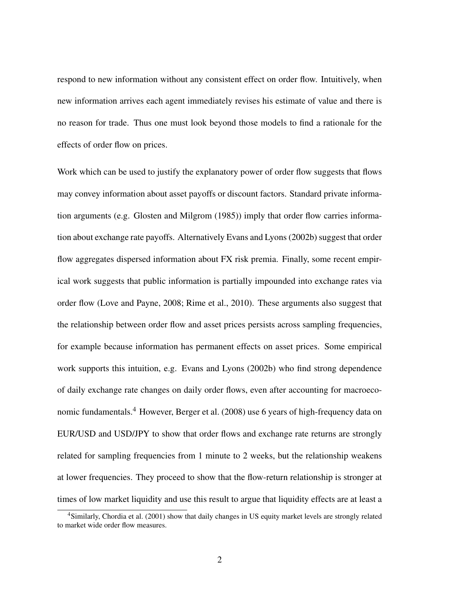respond to new information without any consistent effect on order flow. Intuitively, when new information arrives each agent immediately revises his estimate of value and there is no reason for trade. Thus one must look beyond those models to find a rationale for the effects of order flow on prices.

Work which can be used to justify the explanatory power of order flow suggests that flows may convey information about asset payoffs or discount factors. Standard private information arguments (e.g. Glosten and Milgrom (1985)) imply that order flow carries information about exchange rate payoffs. Alternatively Evans and Lyons (2002b) suggest that order flow aggregates dispersed information about FX risk premia. Finally, some recent empirical work suggests that public information is partially impounded into exchange rates via order flow (Love and Payne, 2008; Rime et al., 2010). These arguments also suggest that the relationship between order flow and asset prices persists across sampling frequencies, for example because information has permanent effects on asset prices. Some empirical work supports this intuition, e.g. Evans and Lyons (2002b) who find strong dependence of daily exchange rate changes on daily order flows, even after accounting for macroeconomic fundamentals.<sup>4</sup> However, Berger et al. (2008) use 6 years of high-frequency data on EUR/USD and USD/JPY to show that order flows and exchange rate returns are strongly related for sampling frequencies from 1 minute to 2 weeks, but the relationship weakens at lower frequencies. They proceed to show that the flow-return relationship is stronger at times of low market liquidity and use this result to argue that liquidity effects are at least a

<sup>4</sup>Similarly, Chordia et al. (2001) show that daily changes in US equity market levels are strongly related to market wide order flow measures.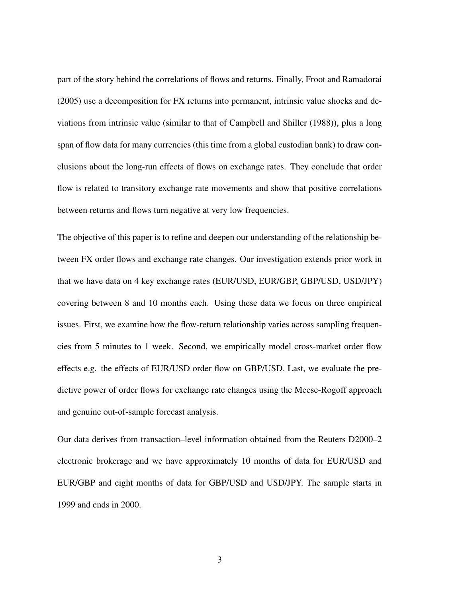part of the story behind the correlations of flows and returns. Finally, Froot and Ramadorai (2005) use a decomposition for FX returns into permanent, intrinsic value shocks and deviations from intrinsic value (similar to that of Campbell and Shiller (1988)), plus a long span of flow data for many currencies (this time from a global custodian bank) to draw conclusions about the long-run effects of flows on exchange rates. They conclude that order flow is related to transitory exchange rate movements and show that positive correlations between returns and flows turn negative at very low frequencies.

The objective of this paper is to refine and deepen our understanding of the relationship between FX order flows and exchange rate changes. Our investigation extends prior work in that we have data on 4 key exchange rates (EUR/USD, EUR/GBP, GBP/USD, USD/JPY) covering between 8 and 10 months each. Using these data we focus on three empirical issues. First, we examine how the flow-return relationship varies across sampling frequencies from 5 minutes to 1 week. Second, we empirically model cross-market order flow effects e.g. the effects of EUR/USD order flow on GBP/USD. Last, we evaluate the predictive power of order flows for exchange rate changes using the Meese-Rogoff approach and genuine out-of-sample forecast analysis.

Our data derives from transaction–level information obtained from the Reuters D2000–2 electronic brokerage and we have approximately 10 months of data for EUR/USD and EUR/GBP and eight months of data for GBP/USD and USD/JPY. The sample starts in 1999 and ends in 2000.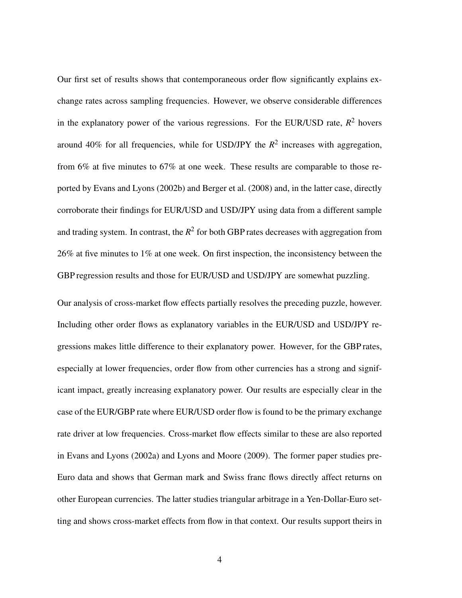Our first set of results shows that contemporaneous order flow significantly explains exchange rates across sampling frequencies. However, we observe considerable differences in the explanatory power of the various regressions. For the EUR/USD rate,  $R^2$  hovers around 40% for all frequencies, while for USD/JPY the  $R^2$  increases with aggregation, from 6% at five minutes to 67% at one week. These results are comparable to those reported by Evans and Lyons (2002b) and Berger et al. (2008) and, in the latter case, directly corroborate their findings for EUR/USD and USD/JPY using data from a different sample and trading system. In contrast, the  $R^2$  for both GBP rates decreases with aggregation from 26% at five minutes to 1% at one week. On first inspection, the inconsistency between the GBP regression results and those for EUR/USD and USD/JPY are somewhat puzzling.

Our analysis of cross-market flow effects partially resolves the preceding puzzle, however. Including other order flows as explanatory variables in the EUR/USD and USD/JPY regressions makes little difference to their explanatory power. However, for the GBP rates, especially at lower frequencies, order flow from other currencies has a strong and significant impact, greatly increasing explanatory power. Our results are especially clear in the case of the EUR/GBP rate where EUR/USD order flow is found to be the primary exchange rate driver at low frequencies. Cross-market flow effects similar to these are also reported in Evans and Lyons (2002a) and Lyons and Moore (2009). The former paper studies pre-Euro data and shows that German mark and Swiss franc flows directly affect returns on other European currencies. The latter studies triangular arbitrage in a Yen-Dollar-Euro setting and shows cross-market effects from flow in that context. Our results support theirs in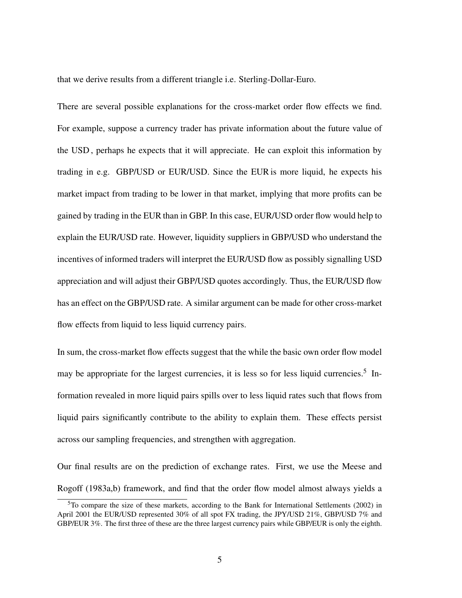that we derive results from a different triangle i.e. Sterling-Dollar-Euro.

There are several possible explanations for the cross-market order flow effects we find. For example, suppose a currency trader has private information about the future value of the USD , perhaps he expects that it will appreciate. He can exploit this information by trading in e.g. GBP/USD or EUR/USD. Since the EUR is more liquid, he expects his market impact from trading to be lower in that market, implying that more profits can be gained by trading in the EUR than in GBP. In this case, EUR/USD order flow would help to explain the EUR/USD rate. However, liquidity suppliers in GBP/USD who understand the incentives of informed traders will interpret the EUR/USD flow as possibly signalling USD appreciation and will adjust their GBP/USD quotes accordingly. Thus, the EUR/USD flow has an effect on the GBP/USD rate. A similar argument can be made for other cross-market flow effects from liquid to less liquid currency pairs.

In sum, the cross-market flow effects suggest that the while the basic own order flow model may be appropriate for the largest currencies, it is less so for less liquid currencies.<sup>5</sup> Information revealed in more liquid pairs spills over to less liquid rates such that flows from liquid pairs significantly contribute to the ability to explain them. These effects persist across our sampling frequencies, and strengthen with aggregation.

Our final results are on the prediction of exchange rates. First, we use the Meese and Rogoff (1983a,b) framework, and find that the order flow model almost always yields a

 $5T\sigma$  compare the size of these markets, according to the Bank for International Settlements (2002) in April 2001 the EUR/USD represented 30% of all spot FX trading, the JPY/USD 21%, GBP/USD 7% and GBP/EUR 3%. The first three of these are the three largest currency pairs while GBP/EUR is only the eighth.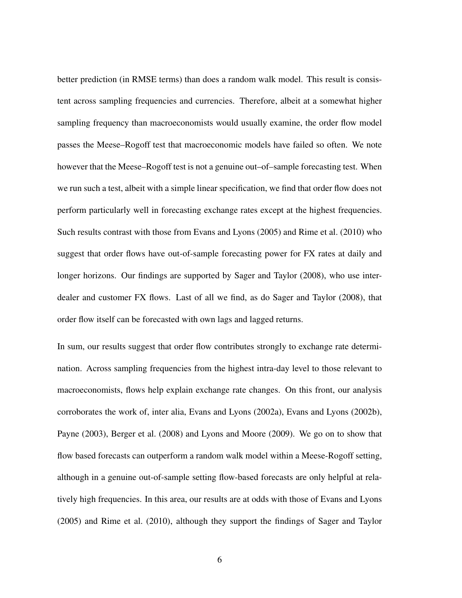better prediction (in RMSE terms) than does a random walk model. This result is consistent across sampling frequencies and currencies. Therefore, albeit at a somewhat higher sampling frequency than macroeconomists would usually examine, the order flow model passes the Meese–Rogoff test that macroeconomic models have failed so often. We note however that the Meese–Rogoff test is not a genuine out–of–sample forecasting test. When we run such a test, albeit with a simple linear specification, we find that order flow does not perform particularly well in forecasting exchange rates except at the highest frequencies. Such results contrast with those from Evans and Lyons (2005) and Rime et al. (2010) who suggest that order flows have out-of-sample forecasting power for FX rates at daily and longer horizons. Our findings are supported by Sager and Taylor (2008), who use interdealer and customer FX flows. Last of all we find, as do Sager and Taylor (2008), that order flow itself can be forecasted with own lags and lagged returns.

In sum, our results suggest that order flow contributes strongly to exchange rate determination. Across sampling frequencies from the highest intra-day level to those relevant to macroeconomists, flows help explain exchange rate changes. On this front, our analysis corroborates the work of, inter alia, Evans and Lyons (2002a), Evans and Lyons (2002b), Payne (2003), Berger et al. (2008) and Lyons and Moore (2009). We go on to show that flow based forecasts can outperform a random walk model within a Meese-Rogoff setting, although in a genuine out-of-sample setting flow-based forecasts are only helpful at relatively high frequencies. In this area, our results are at odds with those of Evans and Lyons (2005) and Rime et al. (2010), although they support the findings of Sager and Taylor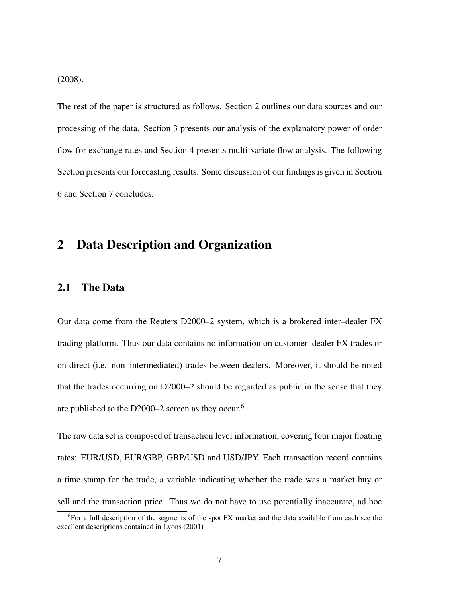(2008).

The rest of the paper is structured as follows. Section 2 outlines our data sources and our processing of the data. Section 3 presents our analysis of the explanatory power of order flow for exchange rates and Section 4 presents multi-variate flow analysis. The following Section presents our forecasting results. Some discussion of our findings is given in Section 6 and Section 7 concludes.

## 2 Data Description and Organization

### 2.1 The Data

Our data come from the Reuters D2000–2 system, which is a brokered inter–dealer FX trading platform. Thus our data contains no information on customer–dealer FX trades or on direct (i.e. non–intermediated) trades between dealers. Moreover, it should be noted that the trades occurring on D2000–2 should be regarded as public in the sense that they are published to the D2000–2 screen as they occur.<sup>6</sup>

The raw data set is composed of transaction level information, covering four major floating rates: EUR/USD, EUR/GBP, GBP/USD and USD/JPY. Each transaction record contains a time stamp for the trade, a variable indicating whether the trade was a market buy or sell and the transaction price. Thus we do not have to use potentially inaccurate, ad hoc

<sup>6</sup>For a full description of the segments of the spot FX market and the data available from each see the excellent descriptions contained in Lyons (2001)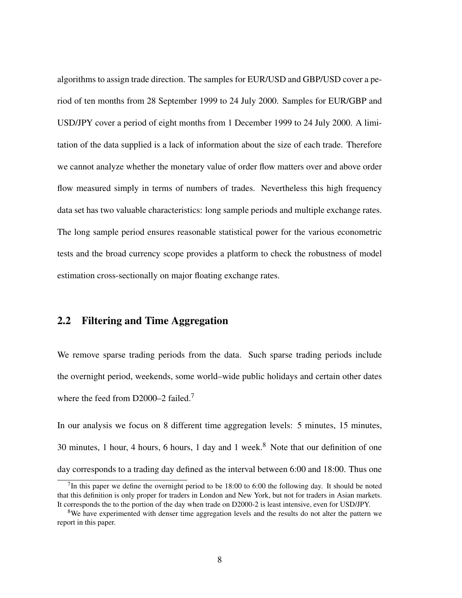algorithms to assign trade direction. The samples for EUR/USD and GBP/USD cover a period of ten months from 28 September 1999 to 24 July 2000. Samples for EUR/GBP and USD/JPY cover a period of eight months from 1 December 1999 to 24 July 2000. A limitation of the data supplied is a lack of information about the size of each trade. Therefore we cannot analyze whether the monetary value of order flow matters over and above order flow measured simply in terms of numbers of trades. Nevertheless this high frequency data set has two valuable characteristics: long sample periods and multiple exchange rates. The long sample period ensures reasonable statistical power for the various econometric tests and the broad currency scope provides a platform to check the robustness of model estimation cross-sectionally on major floating exchange rates.

## 2.2 Filtering and Time Aggregation

We remove sparse trading periods from the data. Such sparse trading periods include the overnight period, weekends, some world–wide public holidays and certain other dates where the feed from D2000–2 failed.<sup>7</sup>

In our analysis we focus on 8 different time aggregation levels: 5 minutes, 15 minutes, 30 minutes, 1 hour, 4 hours, 6 hours, 1 day and 1 week.<sup>8</sup> Note that our definition of one day corresponds to a trading day defined as the interval between 6:00 and 18:00. Thus one

<sup>&</sup>lt;sup>7</sup>In this paper we define the overnight period to be  $18:00$  to  $6:00$  the following day. It should be noted that this definition is only proper for traders in London and New York, but not for traders in Asian markets. It corresponds the to the portion of the day when trade on D2000-2 is least intensive, even for USD/JPY.

 $8$ We have experimented with denser time aggregation levels and the results do not alter the pattern we report in this paper.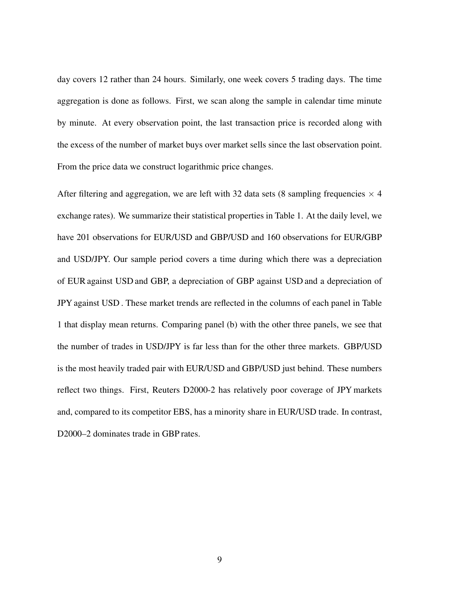day covers 12 rather than 24 hours. Similarly, one week covers 5 trading days. The time aggregation is done as follows. First, we scan along the sample in calendar time minute by minute. At every observation point, the last transaction price is recorded along with the excess of the number of market buys over market sells since the last observation point. From the price data we construct logarithmic price changes.

After filtering and aggregation, we are left with 32 data sets (8 sampling frequencies  $\times$  4 exchange rates). We summarize their statistical properties in Table 1. At the daily level, we have 201 observations for EUR/USD and GBP/USD and 160 observations for EUR/GBP and USD/JPY. Our sample period covers a time during which there was a depreciation of EUR against USD and GBP, a depreciation of GBP against USD and a depreciation of JPY against USD . These market trends are reflected in the columns of each panel in Table 1 that display mean returns. Comparing panel (b) with the other three panels, we see that the number of trades in USD/JPY is far less than for the other three markets. GBP/USD is the most heavily traded pair with EUR/USD and GBP/USD just behind. These numbers reflect two things. First, Reuters D2000-2 has relatively poor coverage of JPY markets and, compared to its competitor EBS, has a minority share in EUR/USD trade. In contrast, D2000–2 dominates trade in GBP rates.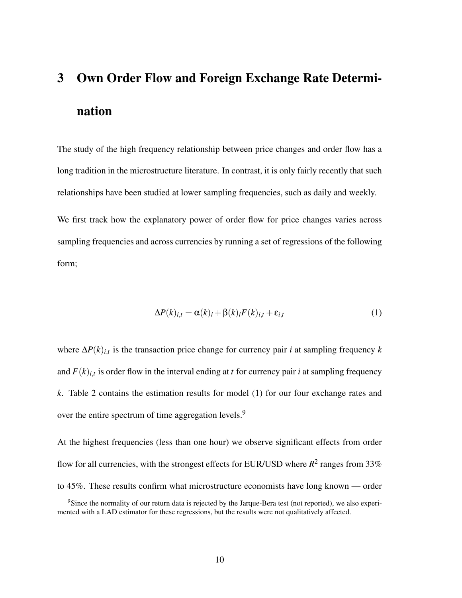# 3 Own Order Flow and Foreign Exchange Rate Determination

The study of the high frequency relationship between price changes and order flow has a long tradition in the microstructure literature. In contrast, it is only fairly recently that such relationships have been studied at lower sampling frequencies, such as daily and weekly.

We first track how the explanatory power of order flow for price changes varies across sampling frequencies and across currencies by running a set of regressions of the following form;

$$
\Delta P(k)_{i,t} = \alpha(k)_i + \beta(k)_i F(k)_{i,t} + \varepsilon_{i,t} \tag{1}
$$

where ∆*P*(*k*)*i*,*<sup>t</sup>* is the transaction price change for currency pair *i* at sampling frequency *k* and  $F(k)_{i,t}$  is order flow in the interval ending at *t* for currency pair *i* at sampling frequency *k*. Table 2 contains the estimation results for model (1) for our four exchange rates and over the entire spectrum of time aggregation levels.<sup>9</sup>

At the highest frequencies (less than one hour) we observe significant effects from order flow for all currencies, with the strongest effects for EUR/USD where  $R^2$  ranges from 33% to 45%. These results confirm what microstructure economists have long known — order

<sup>9</sup>Since the normality of our return data is rejected by the Jarque-Bera test (not reported), we also experimented with a LAD estimator for these regressions, but the results were not qualitatively affected.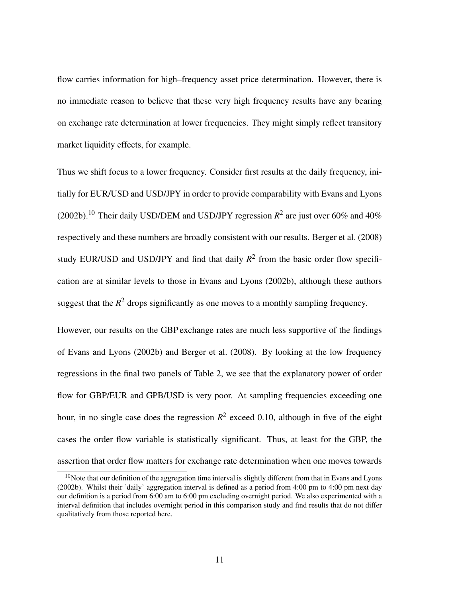flow carries information for high–frequency asset price determination. However, there is no immediate reason to believe that these very high frequency results have any bearing on exchange rate determination at lower frequencies. They might simply reflect transitory market liquidity effects, for example.

Thus we shift focus to a lower frequency. Consider first results at the daily frequency, initially for EUR/USD and USD/JPY in order to provide comparability with Evans and Lyons (2002b).<sup>10</sup> Their daily USD/DEM and USD/JPY regression  $R^2$  are just over 60% and 40% respectively and these numbers are broadly consistent with our results. Berger et al. (2008) study EUR/USD and USD/JPY and find that daily  $R^2$  from the basic order flow specification are at similar levels to those in Evans and Lyons (2002b), although these authors suggest that the  $R^2$  drops significantly as one moves to a monthly sampling frequency.

However, our results on the GBP exchange rates are much less supportive of the findings of Evans and Lyons (2002b) and Berger et al. (2008). By looking at the low frequency regressions in the final two panels of Table 2, we see that the explanatory power of order flow for GBP/EUR and GPB/USD is very poor. At sampling frequencies exceeding one hour, in no single case does the regression  $R^2$  exceed 0.10, although in five of the eight cases the order flow variable is statistically significant. Thus, at least for the GBP, the assertion that order flow matters for exchange rate determination when one moves towards

<sup>&</sup>lt;sup>10</sup>Note that our definition of the aggregation time interval is slightly different from that in Evans and Lyons (2002b). Whilst their 'daily' aggregation interval is defined as a period from 4:00 pm to 4:00 pm next day our definition is a period from 6:00 am to 6:00 pm excluding overnight period. We also experimented with a interval definition that includes overnight period in this comparison study and find results that do not differ qualitatively from those reported here.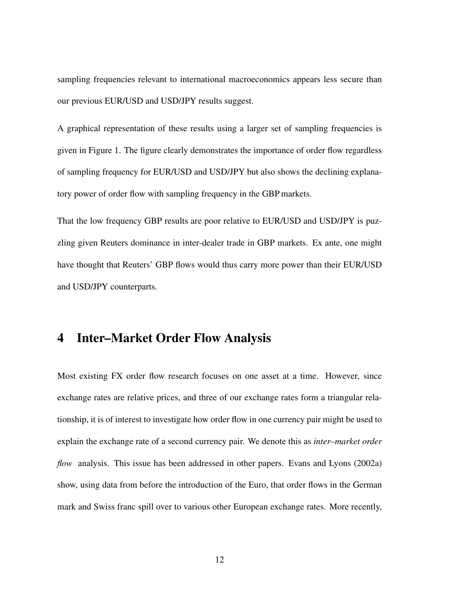sampling frequencies relevant to international macroeconomics appears less secure than our previous EUR/USD and USD/JPY results suggest.

A graphical representation of these results using a larger set of sampling frequencies is given in Figure 1. The figure clearly demonstrates the importance of order flow regardless of sampling frequency for EUR/USD and USD/JPY but also shows the declining explanatory power of order flow with sampling frequency in the GBP markets.

That the low frequency GBP results are poor relative to EUR/USD and USD/JPY is puzzling given Reuters dominance in inter-dealer trade in GBP markets. Ex ante, one might have thought that Reuters' GBP flows would thus carry more power than their EUR/USD and USD/JPY counterparts.

## 4 Inter–Market Order Flow Analysis

Most existing FX order flow research focuses on one asset at a time. However, since exchange rates are relative prices, and three of our exchange rates form a triangular relationship, it is of interest to investigate how order flow in one currency pair might be used to explain the exchange rate of a second currency pair. We denote this as *inter–market order flow* analysis. This issue has been addressed in other papers. Evans and Lyons (2002a) show, using data from before the introduction of the Euro, that order flows in the German mark and Swiss franc spill over to various other European exchange rates. More recently,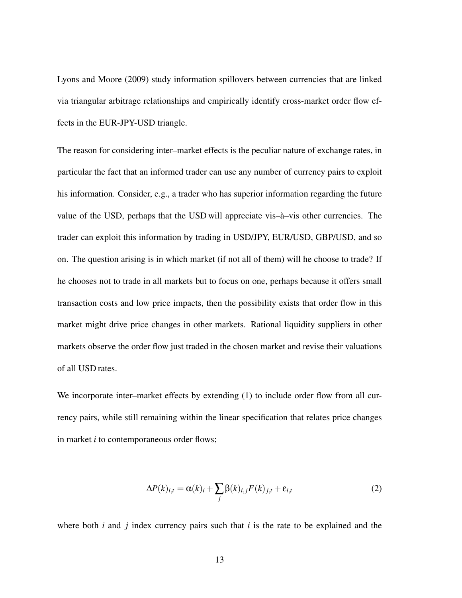Lyons and Moore (2009) study information spillovers between currencies that are linked via triangular arbitrage relationships and empirically identify cross-market order flow effects in the EUR-JPY-USD triangle.

The reason for considering inter–market effects is the peculiar nature of exchange rates, in particular the fact that an informed trader can use any number of currency pairs to exploit his information. Consider, e.g., a trader who has superior information regarding the future value of the USD, perhaps that the USD will appreciate vis– $\hat{a}$ –vis other currencies. The trader can exploit this information by trading in USD/JPY, EUR/USD, GBP/USD, and so on. The question arising is in which market (if not all of them) will he choose to trade? If he chooses not to trade in all markets but to focus on one, perhaps because it offers small transaction costs and low price impacts, then the possibility exists that order flow in this market might drive price changes in other markets. Rational liquidity suppliers in other markets observe the order flow just traded in the chosen market and revise their valuations of all USD rates.

We incorporate inter–market effects by extending (1) to include order flow from all currency pairs, while still remaining within the linear specification that relates price changes in market *i* to contemporaneous order flows;

$$
\Delta P(k)_{i,t} = \alpha(k)_i + \sum_j \beta(k)_{i,j} F(k)_{j,t} + \varepsilon_{i,t}
$$
 (2)

where both *i* and *j* index currency pairs such that *i* is the rate to be explained and the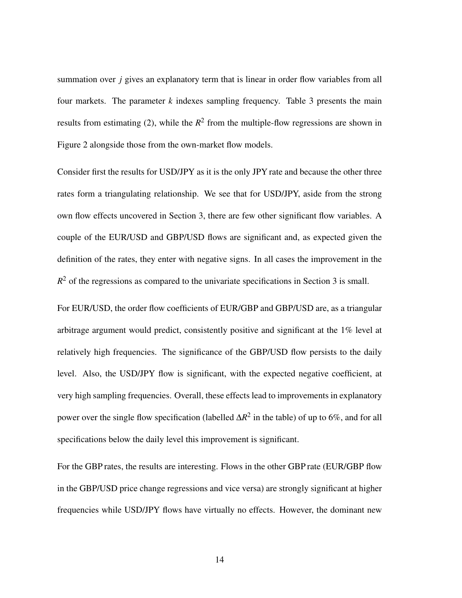summation over *j* gives an explanatory term that is linear in order flow variables from all four markets. The parameter *k* indexes sampling frequency. Table 3 presents the main results from estimating (2), while the  $R^2$  from the multiple-flow regressions are shown in Figure 2 alongside those from the own-market flow models.

Consider first the results for USD/JPY as it is the only JPY rate and because the other three rates form a triangulating relationship. We see that for USD/JPY, aside from the strong own flow effects uncovered in Section 3, there are few other significant flow variables. A couple of the EUR/USD and GBP/USD flows are significant and, as expected given the definition of the rates, they enter with negative signs. In all cases the improvement in the  $R<sup>2</sup>$  of the regressions as compared to the univariate specifications in Section 3 is small.

For EUR/USD, the order flow coefficients of EUR/GBP and GBP/USD are, as a triangular arbitrage argument would predict, consistently positive and significant at the 1% level at relatively high frequencies. The significance of the GBP/USD flow persists to the daily level. Also, the USD/JPY flow is significant, with the expected negative coefficient, at very high sampling frequencies. Overall, these effects lead to improvements in explanatory power over the single flow specification (labelled  $\Delta R^2$  in the table) of up to 6%, and for all specifications below the daily level this improvement is significant.

For the GBP rates, the results are interesting. Flows in the other GBP rate (EUR/GBP flow in the GBP/USD price change regressions and vice versa) are strongly significant at higher frequencies while USD/JPY flows have virtually no effects. However, the dominant new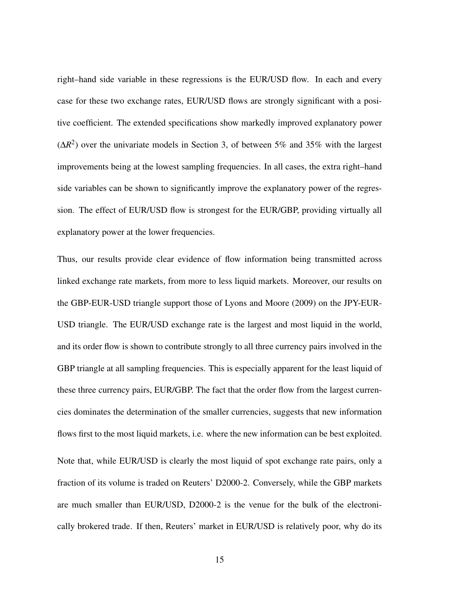right–hand side variable in these regressions is the EUR/USD flow. In each and every case for these two exchange rates, EUR/USD flows are strongly significant with a positive coefficient. The extended specifications show markedly improved explanatory power  $(\Delta R^2)$  over the univariate models in Section 3, of between 5% and 35% with the largest improvements being at the lowest sampling frequencies. In all cases, the extra right–hand side variables can be shown to significantly improve the explanatory power of the regression. The effect of EUR/USD flow is strongest for the EUR/GBP, providing virtually all explanatory power at the lower frequencies.

Thus, our results provide clear evidence of flow information being transmitted across linked exchange rate markets, from more to less liquid markets. Moreover, our results on the GBP-EUR-USD triangle support those of Lyons and Moore (2009) on the JPY-EUR-USD triangle. The EUR/USD exchange rate is the largest and most liquid in the world, and its order flow is shown to contribute strongly to all three currency pairs involved in the GBP triangle at all sampling frequencies. This is especially apparent for the least liquid of these three currency pairs, EUR/GBP. The fact that the order flow from the largest currencies dominates the determination of the smaller currencies, suggests that new information flows first to the most liquid markets, i.e. where the new information can be best exploited. Note that, while EUR/USD is clearly the most liquid of spot exchange rate pairs, only a fraction of its volume is traded on Reuters' D2000-2. Conversely, while the GBP markets are much smaller than EUR/USD, D2000-2 is the venue for the bulk of the electronically brokered trade. If then, Reuters' market in EUR/USD is relatively poor, why do its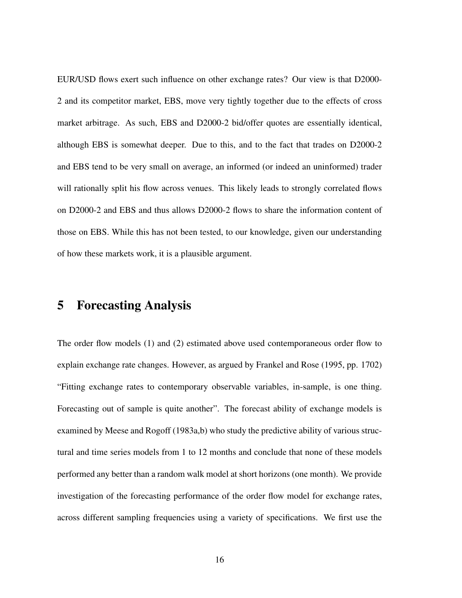EUR/USD flows exert such influence on other exchange rates? Our view is that D2000- 2 and its competitor market, EBS, move very tightly together due to the effects of cross market arbitrage. As such, EBS and D2000-2 bid/offer quotes are essentially identical, although EBS is somewhat deeper. Due to this, and to the fact that trades on D2000-2 and EBS tend to be very small on average, an informed (or indeed an uninformed) trader will rationally split his flow across venues. This likely leads to strongly correlated flows on D2000-2 and EBS and thus allows D2000-2 flows to share the information content of those on EBS. While this has not been tested, to our knowledge, given our understanding of how these markets work, it is a plausible argument.

## 5 Forecasting Analysis

The order flow models (1) and (2) estimated above used contemporaneous order flow to explain exchange rate changes. However, as argued by Frankel and Rose (1995, pp. 1702) "Fitting exchange rates to contemporary observable variables, in-sample, is one thing. Forecasting out of sample is quite another". The forecast ability of exchange models is examined by Meese and Rogoff (1983a,b) who study the predictive ability of various structural and time series models from 1 to 12 months and conclude that none of these models performed any better than a random walk model at short horizons (one month). We provide investigation of the forecasting performance of the order flow model for exchange rates, across different sampling frequencies using a variety of specifications. We first use the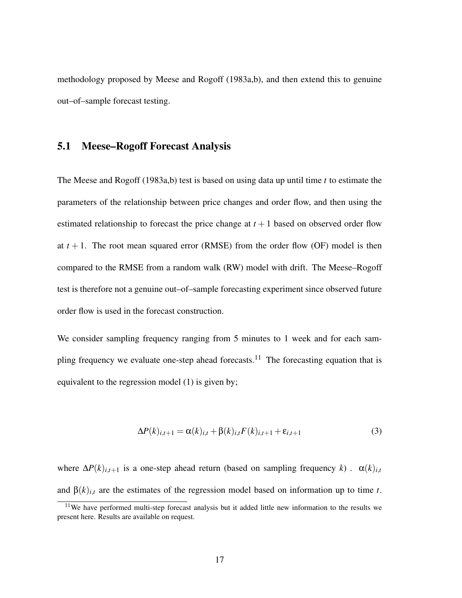methodology proposed by Meese and Rogoff (1983a,b), and then extend this to genuine out–of–sample forecast testing.

#### 5.1 Meese–Rogoff Forecast Analysis

The Meese and Rogoff (1983a,b) test is based on using data up until time *t* to estimate the parameters of the relationship between price changes and order flow, and then using the estimated relationship to forecast the price change at  $t + 1$  based on observed order flow at  $t + 1$ . The root mean squared error (RMSE) from the order flow (OF) model is then compared to the RMSE from a random walk (RW) model with drift. The Meese–Rogoff test is therefore not a genuine out–of–sample forecasting experiment since observed future order flow is used in the forecast construction.

We consider sampling frequency ranging from 5 minutes to 1 week and for each sampling frequency we evaluate one-step ahead forecasts.<sup>11</sup> The forecasting equation that is equivalent to the regression model (1) is given by;

$$
\Delta P(k)_{i,t+1} = \alpha(k)_{i,t} + \beta(k)_{i,t} F(k)_{i,t+1} + \varepsilon_{i,t+1}
$$
\n(3)

where  $\Delta P(k)_{i,t+1}$  is a one-step ahead return (based on sampling frequency *k*).  $\alpha(k)_{i,t}$ and  $\beta(k)_{i,t}$  are the estimates of the regression model based on information up to time *t*.

<sup>&</sup>lt;sup>11</sup>We have performed multi-step forecast analysis but it added little new information to the results we present here. Results are available on request.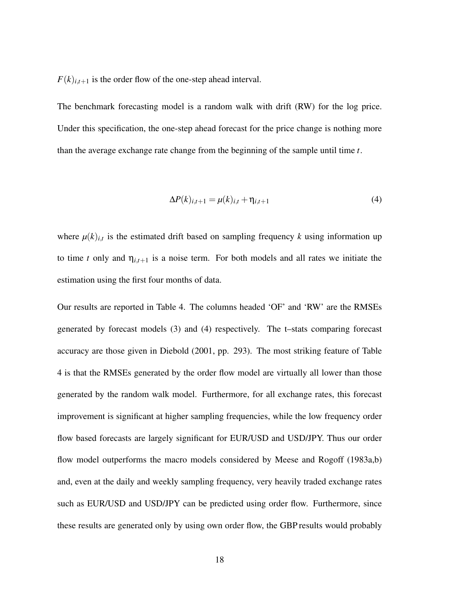$F(k)_{i,t+1}$  is the order flow of the one-step ahead interval.

The benchmark forecasting model is a random walk with drift (RW) for the log price. Under this specification, the one-step ahead forecast for the price change is nothing more than the average exchange rate change from the beginning of the sample until time *t*.

$$
\Delta P(k)_{i,t+1} = \mu(k)_{i,t} + \eta_{i,t+1} \tag{4}
$$

where  $\mu(k)_{i,t}$  is the estimated drift based on sampling frequency k using information up to time *t* only and  $\eta_{i,t+1}$  is a noise term. For both models and all rates we initiate the estimation using the first four months of data.

Our results are reported in Table 4. The columns headed 'OF' and 'RW' are the RMSEs generated by forecast models (3) and (4) respectively. The t–stats comparing forecast accuracy are those given in Diebold (2001, pp. 293). The most striking feature of Table 4 is that the RMSEs generated by the order flow model are virtually all lower than those generated by the random walk model. Furthermore, for all exchange rates, this forecast improvement is significant at higher sampling frequencies, while the low frequency order flow based forecasts are largely significant for EUR/USD and USD/JPY. Thus our order flow model outperforms the macro models considered by Meese and Rogoff (1983a,b) and, even at the daily and weekly sampling frequency, very heavily traded exchange rates such as EUR/USD and USD/JPY can be predicted using order flow. Furthermore, since these results are generated only by using own order flow, the GBP results would probably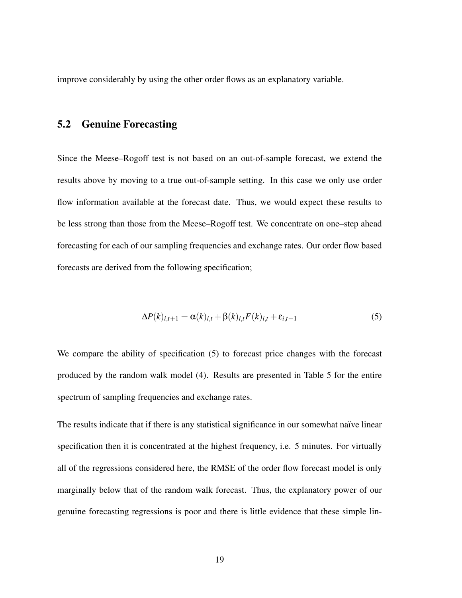improve considerably by using the other order flows as an explanatory variable.

### 5.2 Genuine Forecasting

Since the Meese–Rogoff test is not based on an out-of-sample forecast, we extend the results above by moving to a true out-of-sample setting. In this case we only use order flow information available at the forecast date. Thus, we would expect these results to be less strong than those from the Meese–Rogoff test. We concentrate on one–step ahead forecasting for each of our sampling frequencies and exchange rates. Our order flow based forecasts are derived from the following specification;

$$
\Delta P(k)_{i,t+1} = \alpha(k)_{i,t} + \beta(k)_{i,t} F(k)_{i,t} + \varepsilon_{i,t+1}
$$
\n(5)

We compare the ability of specification (5) to forecast price changes with the forecast produced by the random walk model (4). Results are presented in Table 5 for the entire spectrum of sampling frequencies and exchange rates.

The results indicate that if there is any statistical significance in our somewhat naïve linear specification then it is concentrated at the highest frequency, i.e. 5 minutes. For virtually all of the regressions considered here, the RMSE of the order flow forecast model is only marginally below that of the random walk forecast. Thus, the explanatory power of our genuine forecasting regressions is poor and there is little evidence that these simple lin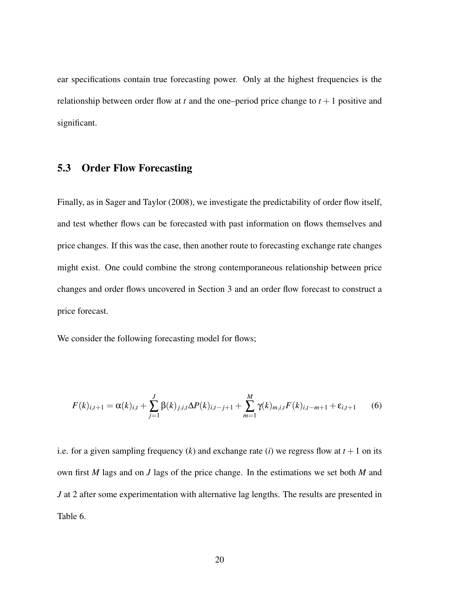ear specifications contain true forecasting power. Only at the highest frequencies is the relationship between order flow at *t* and the one–period price change to  $t + 1$  positive and significant.

## 5.3 Order Flow Forecasting

Finally, as in Sager and Taylor (2008), we investigate the predictability of order flow itself, and test whether flows can be forecasted with past information on flows themselves and price changes. If this was the case, then another route to forecasting exchange rate changes might exist. One could combine the strong contemporaneous relationship between price changes and order flows uncovered in Section 3 and an order flow forecast to construct a price forecast.

We consider the following forecasting model for flows;

$$
F(k)_{i,t+1} = \alpha(k)_{i,t} + \sum_{j=1}^{J} \beta(k)_{j,i,t} \Delta P(k)_{i,t-j+1} + \sum_{m=1}^{M} \gamma(k)_{m,i,t} F(k)_{i,t-m+1} + \varepsilon_{i,t+1}
$$
(6)

i.e. for a given sampling frequency  $(k)$  and exchange rate  $(i)$  we regress flow at  $t + 1$  on its own first *M* lags and on *J* lags of the price change. In the estimations we set both *M* and *J* at 2 after some experimentation with alternative lag lengths. The results are presented in Table 6.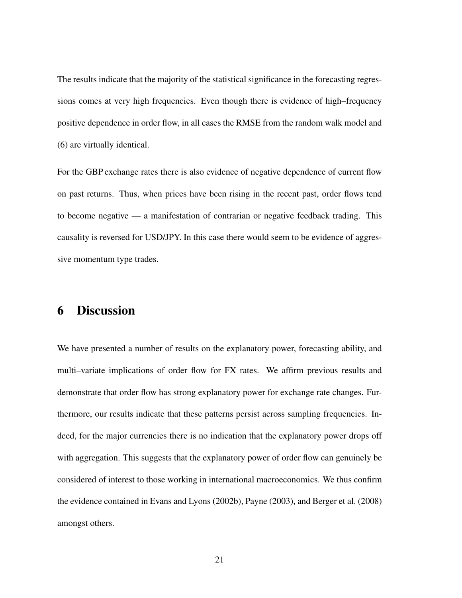The results indicate that the majority of the statistical significance in the forecasting regressions comes at very high frequencies. Even though there is evidence of high–frequency positive dependence in order flow, in all cases the RMSE from the random walk model and (6) are virtually identical.

For the GBP exchange rates there is also evidence of negative dependence of current flow on past returns. Thus, when prices have been rising in the recent past, order flows tend to become negative — a manifestation of contrarian or negative feedback trading. This causality is reversed for USD/JPY. In this case there would seem to be evidence of aggressive momentum type trades.

## 6 Discussion

We have presented a number of results on the explanatory power, forecasting ability, and multi–variate implications of order flow for FX rates. We affirm previous results and demonstrate that order flow has strong explanatory power for exchange rate changes. Furthermore, our results indicate that these patterns persist across sampling frequencies. Indeed, for the major currencies there is no indication that the explanatory power drops off with aggregation. This suggests that the explanatory power of order flow can genuinely be considered of interest to those working in international macroeconomics. We thus confirm the evidence contained in Evans and Lyons (2002b), Payne (2003), and Berger et al. (2008) amongst others.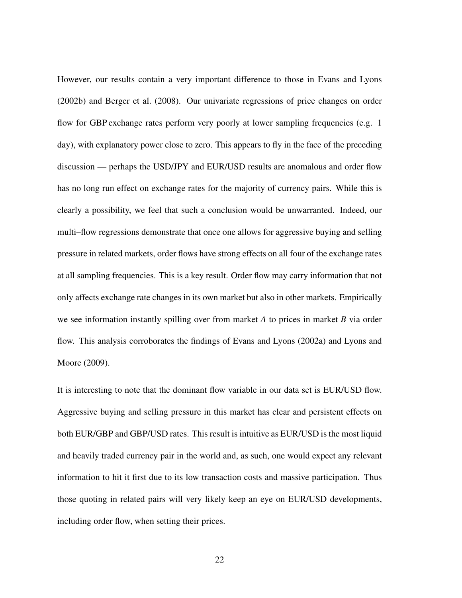However, our results contain a very important difference to those in Evans and Lyons (2002b) and Berger et al. (2008). Our univariate regressions of price changes on order flow for GBP exchange rates perform very poorly at lower sampling frequencies (e.g. 1) day), with explanatory power close to zero. This appears to fly in the face of the preceding discussion — perhaps the USD/JPY and EUR/USD results are anomalous and order flow has no long run effect on exchange rates for the majority of currency pairs. While this is clearly a possibility, we feel that such a conclusion would be unwarranted. Indeed, our multi–flow regressions demonstrate that once one allows for aggressive buying and selling pressure in related markets, order flows have strong effects on all four of the exchange rates at all sampling frequencies. This is a key result. Order flow may carry information that not only affects exchange rate changes in its own market but also in other markets. Empirically we see information instantly spilling over from market *A* to prices in market *B* via order flow. This analysis corroborates the findings of Evans and Lyons (2002a) and Lyons and Moore (2009).

It is interesting to note that the dominant flow variable in our data set is EUR/USD flow. Aggressive buying and selling pressure in this market has clear and persistent effects on both EUR/GBP and GBP/USD rates. This result is intuitive as EUR/USD is the most liquid and heavily traded currency pair in the world and, as such, one would expect any relevant information to hit it first due to its low transaction costs and massive participation. Thus those quoting in related pairs will very likely keep an eye on EUR/USD developments, including order flow, when setting their prices.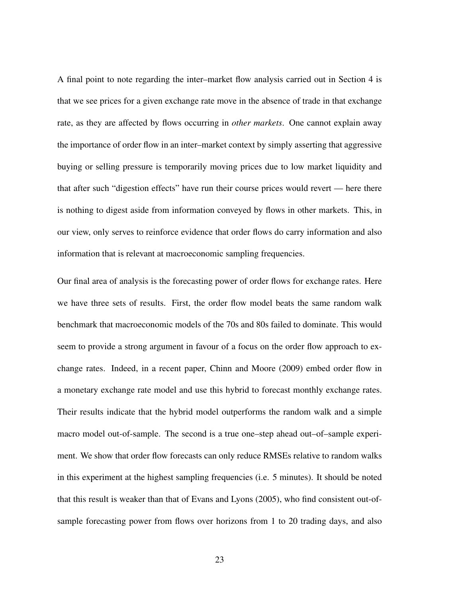A final point to note regarding the inter–market flow analysis carried out in Section 4 is that we see prices for a given exchange rate move in the absence of trade in that exchange rate, as they are affected by flows occurring in *other markets*. One cannot explain away the importance of order flow in an inter–market context by simply asserting that aggressive buying or selling pressure is temporarily moving prices due to low market liquidity and that after such "digestion effects" have run their course prices would revert — here there is nothing to digest aside from information conveyed by flows in other markets. This, in our view, only serves to reinforce evidence that order flows do carry information and also information that is relevant at macroeconomic sampling frequencies.

Our final area of analysis is the forecasting power of order flows for exchange rates. Here we have three sets of results. First, the order flow model beats the same random walk benchmark that macroeconomic models of the 70s and 80s failed to dominate. This would seem to provide a strong argument in favour of a focus on the order flow approach to exchange rates. Indeed, in a recent paper, Chinn and Moore (2009) embed order flow in a monetary exchange rate model and use this hybrid to forecast monthly exchange rates. Their results indicate that the hybrid model outperforms the random walk and a simple macro model out-of-sample. The second is a true one–step ahead out–of–sample experiment. We show that order flow forecasts can only reduce RMSEs relative to random walks in this experiment at the highest sampling frequencies (i.e. 5 minutes). It should be noted that this result is weaker than that of Evans and Lyons (2005), who find consistent out-ofsample forecasting power from flows over horizons from 1 to 20 trading days, and also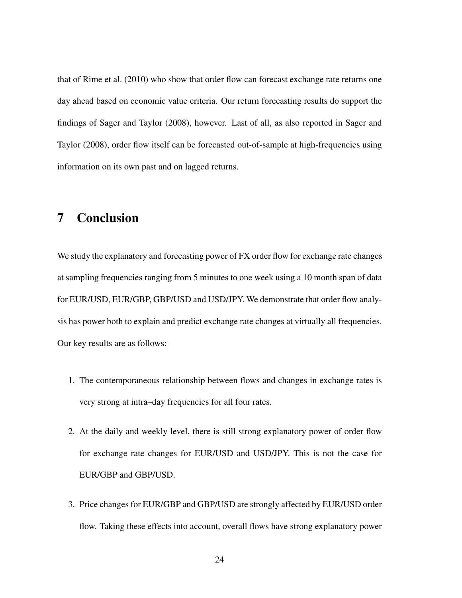that of Rime et al. (2010) who show that order flow can forecast exchange rate returns one day ahead based on economic value criteria. Our return forecasting results do support the findings of Sager and Taylor (2008), however. Last of all, as also reported in Sager and Taylor (2008), order flow itself can be forecasted out-of-sample at high-frequencies using information on its own past and on lagged returns.

# 7 Conclusion

We study the explanatory and forecasting power of FX order flow for exchange rate changes at sampling frequencies ranging from 5 minutes to one week using a 10 month span of data for EUR/USD, EUR/GBP, GBP/USD and USD/JPY. We demonstrate that order flow analysis has power both to explain and predict exchange rate changes at virtually all frequencies. Our key results are as follows;

- 1. The contemporaneous relationship between flows and changes in exchange rates is very strong at intra–day frequencies for all four rates.
- 2. At the daily and weekly level, there is still strong explanatory power of order flow for exchange rate changes for EUR/USD and USD/JPY. This is not the case for EUR/GBP and GBP/USD.
- 3. Price changes for EUR/GBP and GBP/USD are strongly affected by EUR/USD order flow. Taking these effects into account, overall flows have strong explanatory power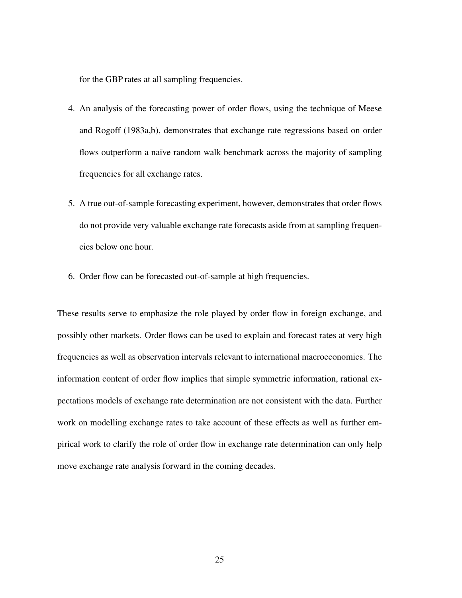for the GBP rates at all sampling frequencies.

- 4. An analysis of the forecasting power of order flows, using the technique of Meese and Rogoff (1983a,b), demonstrates that exchange rate regressions based on order flows outperform a naïve random walk benchmark across the majority of sampling frequencies for all exchange rates.
- 5. A true out-of-sample forecasting experiment, however, demonstrates that order flows do not provide very valuable exchange rate forecasts aside from at sampling frequencies below one hour.
- 6. Order flow can be forecasted out-of-sample at high frequencies.

These results serve to emphasize the role played by order flow in foreign exchange, and possibly other markets. Order flows can be used to explain and forecast rates at very high frequencies as well as observation intervals relevant to international macroeconomics. The information content of order flow implies that simple symmetric information, rational expectations models of exchange rate determination are not consistent with the data. Further work on modelling exchange rates to take account of these effects as well as further empirical work to clarify the role of order flow in exchange rate determination can only help move exchange rate analysis forward in the coming decades.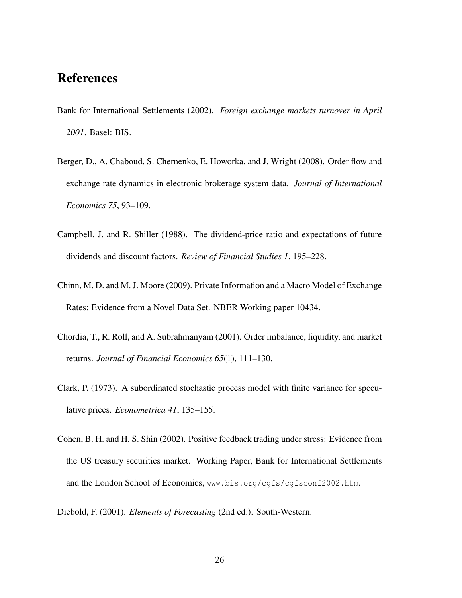# References

- Bank for International Settlements (2002). *Foreign exchange markets turnover in April 2001*. Basel: BIS.
- Berger, D., A. Chaboud, S. Chernenko, E. Howorka, and J. Wright (2008). Order flow and exchange rate dynamics in electronic brokerage system data. *Journal of International Economics 75*, 93–109.
- Campbell, J. and R. Shiller (1988). The dividend-price ratio and expectations of future dividends and discount factors. *Review of Financial Studies 1*, 195–228.
- Chinn, M. D. and M. J. Moore (2009). Private Information and a Macro Model of Exchange Rates: Evidence from a Novel Data Set. NBER Working paper 10434.
- Chordia, T., R. Roll, and A. Subrahmanyam (2001). Order imbalance, liquidity, and market returns. *Journal of Financial Economics 65*(1), 111–130.
- Clark, P. (1973). A subordinated stochastic process model with finite variance for speculative prices. *Econometrica 41*, 135–155.
- Cohen, B. H. and H. S. Shin (2002). Positive feedback trading under stress: Evidence from the US treasury securities market. Working Paper, Bank for International Settlements and the London School of Economics, www.bis.org/cgfs/cgfsconf2002.htm.
- Diebold, F. (2001). *Elements of Forecasting* (2nd ed.). South-Western.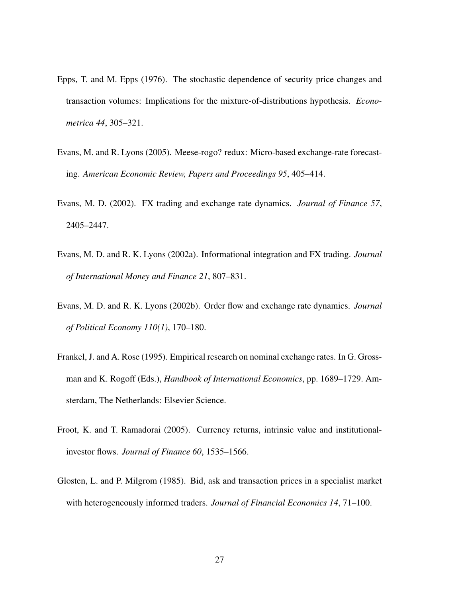- Epps, T. and M. Epps (1976). The stochastic dependence of security price changes and transaction volumes: Implications for the mixture-of-distributions hypothesis. *Econometrica 44*, 305–321.
- Evans, M. and R. Lyons (2005). Meese-rogo? redux: Micro-based exchange-rate forecasting. *American Economic Review, Papers and Proceedings 95*, 405–414.
- Evans, M. D. (2002). FX trading and exchange rate dynamics. *Journal of Finance 57*, 2405–2447.
- Evans, M. D. and R. K. Lyons (2002a). Informational integration and FX trading. *Journal of International Money and Finance 21*, 807–831.
- Evans, M. D. and R. K. Lyons (2002b). Order flow and exchange rate dynamics. *Journal of Political Economy 110(1)*, 170–180.
- Frankel, J. and A. Rose (1995). Empirical research on nominal exchange rates. In G. Grossman and K. Rogoff (Eds.), *Handbook of International Economics*, pp. 1689–1729. Amsterdam, The Netherlands: Elsevier Science.
- Froot, K. and T. Ramadorai (2005). Currency returns, intrinsic value and institutionalinvestor flows. *Journal of Finance 60*, 1535–1566.
- Glosten, L. and P. Milgrom (1985). Bid, ask and transaction prices in a specialist market with heterogeneously informed traders. *Journal of Financial Economics 14*, 71–100.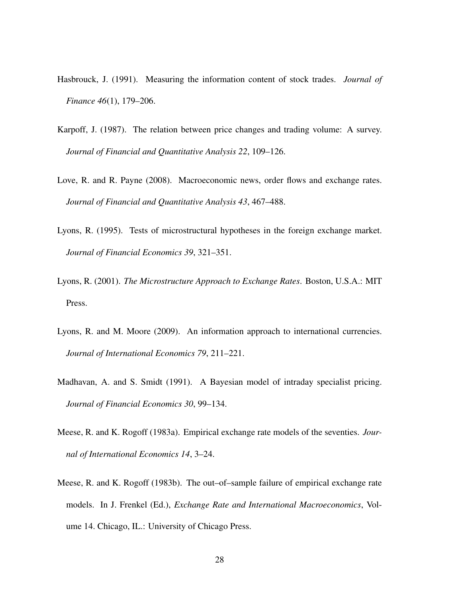- Hasbrouck, J. (1991). Measuring the information content of stock trades. *Journal of Finance 46*(1), 179–206.
- Karpoff, J. (1987). The relation between price changes and trading volume: A survey. *Journal of Financial and Quantitative Analysis 22*, 109–126.
- Love, R. and R. Payne (2008). Macroeconomic news, order flows and exchange rates. *Journal of Financial and Quantitative Analysis 43*, 467–488.
- Lyons, R. (1995). Tests of microstructural hypotheses in the foreign exchange market. *Journal of Financial Economics 39*, 321–351.
- Lyons, R. (2001). *The Microstructure Approach to Exchange Rates*. Boston, U.S.A.: MIT Press.
- Lyons, R. and M. Moore (2009). An information approach to international currencies. *Journal of International Economics 79*, 211–221.
- Madhavan, A. and S. Smidt (1991). A Bayesian model of intraday specialist pricing. *Journal of Financial Economics 30*, 99–134.
- Meese, R. and K. Rogoff (1983a). Empirical exchange rate models of the seventies. *Journal of International Economics 14*, 3–24.
- Meese, R. and K. Rogoff (1983b). The out–of–sample failure of empirical exchange rate models. In J. Frenkel (Ed.), *Exchange Rate and International Macroeconomics*, Volume 14. Chicago, IL.: University of Chicago Press.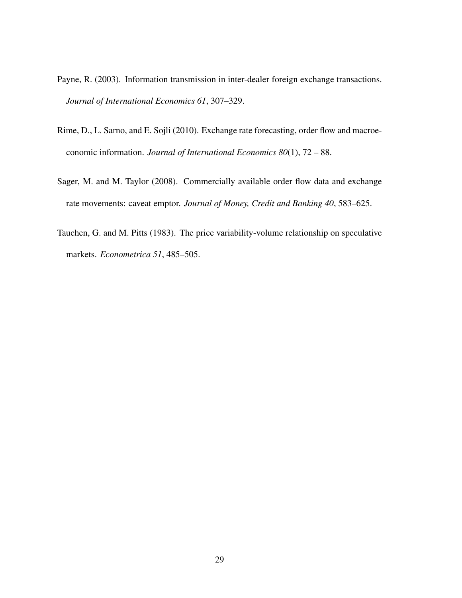- Payne, R. (2003). Information transmission in inter-dealer foreign exchange transactions. *Journal of International Economics 61*, 307–329.
- Rime, D., L. Sarno, and E. Sojli (2010). Exchange rate forecasting, order flow and macroeconomic information. *Journal of International Economics 80*(1), 72 – 88.
- Sager, M. and M. Taylor (2008). Commercially available order flow data and exchange rate movements: caveat emptor. *Journal of Money, Credit and Banking 40*, 583–625.
- Tauchen, G. and M. Pitts (1983). The price variability-volume relationship on speculative markets. *Econometrica 51*, 485–505.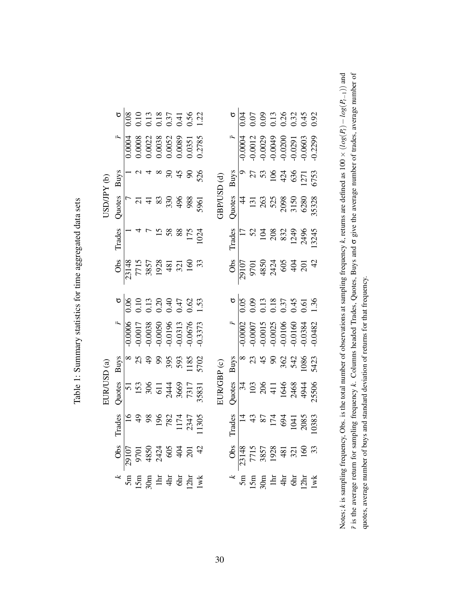|             |        |  |  | $\begin{array}{c l}\n\hline\n6 & 0.10 \\ \hline\n0.10 & 0.13 \\ 0.13 & 0.37 \\ 0.37 & 0.56 \\ \hline\n0.5 & 0.12 \\ \hline\n1.2 & 0.37 \\ \hline\n\end{array}$                                                                                                                                                                                                                                                                                                                                                                       |  |  |            |        |  | $\begin{array}{c c}\n\hline\n6 & 0.07 \\ \hline\n0.075 & 0.03 \\ 0.035 & 0.034 \\ 0.030 & 0.034 \\ 0.030 & 0.032\n\end{array}$                                                                                                                                                                                                                       |  |  |
|-------------|--------|--|--|--------------------------------------------------------------------------------------------------------------------------------------------------------------------------------------------------------------------------------------------------------------------------------------------------------------------------------------------------------------------------------------------------------------------------------------------------------------------------------------------------------------------------------------|--|--|------------|--------|--|------------------------------------------------------------------------------------------------------------------------------------------------------------------------------------------------------------------------------------------------------------------------------------------------------------------------------------------------------|--|--|
|             |        |  |  | $\begin{array}{r} \hline \text{F} \ \hline 0.0004 \ 0.0008 \ 0.00022 \ 0.0038 \ 0.0033 \ 0.0033 \ 0.0033 \ 0.0033 \ 0.0033 \ 0.0033 \ 0.0033 \end{array}$                                                                                                                                                                                                                                                                                                                                                                            |  |  |            |        |  |                                                                                                                                                                                                                                                                                                                                                      |  |  |
|             | Buys   |  |  | $u_4 \approx 8.488$                                                                                                                                                                                                                                                                                                                                                                                                                                                                                                                  |  |  |            |        |  | $\frac{Bayes}{9}$<br>$\frac{27}{35}$<br>$\frac{27}{35}$<br>$\frac{27}{35}$<br>$\frac{27}{35}$<br>$\frac{27}{35}$                                                                                                                                                                                                                                     |  |  |
| (q) AdMOSC  | Quotes |  |  | 1962<br>242298882<br>2422988                                                                                                                                                                                                                                                                                                                                                                                                                                                                                                         |  |  | GSD(d)     | Quotes |  | $\begin{array}{r} 44 \\ 131 \\ 263 \\ 532 \\ 2098 \\ 530 \\ 6280 \\ 53328 \\ \end{array}$                                                                                                                                                                                                                                                            |  |  |
|             |        |  |  | Trades<br>$\begin{array}{c c}\n1 & 4 & 7 \\ \hline\n & 4 & 7 \\ \hline\n & 5 & 8 & 8 \\ \hline\n & 1 & 1 & 1 \\ \hline\n & 1 & 1 & 1 \\ \hline\n & 1 & 1 & 1 \\ \hline\n & 1 & 1 & 1 \\ \hline\n & 1 & 1 & 1 \\ \hline\n & 1 & 1 & 1 \\ \hline\n & 1 & 1 & 1 \\ \hline\n & 1 & 1 & 1 \\ \hline\n & 1 & 1 & 1 \\ \hline\n & 1 & 1 & 1 \\ \hline\n & 1 & 1 & 1 \\ \hline\n & 1 & 1 & 1 \\ \$                                                                                                                                           |  |  |            |        |  | Trades<br>$\frac{17}{17}$<br>$\frac{52}{28}$<br>$\frac{82}{249}$<br>$\frac{1324}{245}$                                                                                                                                                                                                                                                               |  |  |
|             |        |  |  | $\begin{array}{r} 0 \text{bs} \\ \hline 23148 \\ 7715 \\ 3857 \\ 1928 \\ 481 \\ 50 \\ 100 \\ \end{array}$                                                                                                                                                                                                                                                                                                                                                                                                                            |  |  |            |        |  | $rac{66}{20107}$<br>$rac{67}{20107}$<br>$rac{47}{20107}$<br>$rac{47}{2010}$<br>$rac{47}{2010}$<br>$rac{47}{2010}$<br>$rac{47}{201}$                                                                                                                                                                                                                  |  |  |
|             |        |  |  | $\begin{array}{r} 6 \overline{)80} = 2280 \\ 0.00000 \\ 0.000000 \\ 0.000000 \\ 0.00000 \\ 0.00000 \\ 0.00000 \\ 0.00000 \\ 0.00000 \\ 0.00000 \\ 0.00000 \\ 0.00000 \\ 0.00000 \\ 0.00000 \\ 0.00000 \\ 0.00000 \\ 0.00000 \\ 0.00000 \\ 0.00000 \\ 0.00000 \\ 0.00000 \\ 0.00000 \\ 0.00$                                                                                                                                                                                                                                          |  |  |            |        |  | $\begin{array}{r} 6 \\ 0.05 \\ 0.03 \\ 0.013 \\ 0.034 \\ 0.044 \\ 0.013 \\ 0.013 \\ 0.013 \\ 0.013 \\ 0.013 \\ 0.013 \\ 0.013 \\ 0.013 \\ 0.013 \\ 0.013 \\ 0.013 \\ 0.013 \\ 0.013 \\ 0.013 \\ 0.013 \\ 0.013 \\ 0.013 \\ 0.013 \\ 0.013 \\ 0.013 \\ 0.013 \\ 0.013 \\ 0.013 \\ 0.013 \\ 0.013 \\ 0$                                                |  |  |
|             |        |  |  |                                                                                                                                                                                                                                                                                                                                                                                                                                                                                                                                      |  |  |            |        |  | $\frac{16}{10000}$<br>$\frac{16000}{100000}$<br>$\frac{160000}{100000}$<br>$\frac{160000}{100000}$<br>$\frac{160000}{100000}$<br>$\frac{1600000}{100000}$<br>$\frac{1600000}{100000}$                                                                                                                                                                |  |  |
|             |        |  |  | $\frac{Bayes}{8}$ $\frac{8}{3}$ $\frac{4}{3}$ $\frac{9}{3}$ $\frac{5}{3}$ $\frac{3}{3}$ $\frac{3}{3}$ $\frac{3}{3}$ $\frac{3}{3}$ $\frac{3}{3}$ $\frac{3}{3}$ $\frac{3}{3}$ $\frac{3}{3}$ $\frac{3}{3}$ $\frac{3}{3}$ $\frac{3}{3}$ $\frac{3}{3}$ $\frac{3}{3}$ $\frac{3}{3}$ $\frac{3}{3}$ $\frac{3}{3}$ $\frac{3}{3}$                                                                                                                                                                                                              |  |  |            |        |  | $\frac{12}{9}$ $\frac{12}{9}$ $\frac{12}{3}$ $\frac{12}{3}$ $\frac{12}{3}$ $\frac{12}{3}$ $\frac{12}{3}$ $\frac{12}{3}$                                                                                                                                                                                                                              |  |  |
| EUR/USD (a) |        |  |  | Quees<br>153<br>153<br>306<br>517<br>344<br>366<br>7317<br>7317<br>3831                                                                                                                                                                                                                                                                                                                                                                                                                                                              |  |  | EUR/GBP(c) |        |  | $\frac{1}{3}$<br>$\frac{1}{3}$<br>$\frac{1}{3}$<br>$\frac{1}{3}$<br>$\frac{1}{3}$<br>$\frac{1}{3}$<br>$\frac{1}{3}$<br>$\frac{1}{3}$<br>$\frac{1}{3}$<br>$\frac{1}{3}$<br>$\frac{1}{3}$<br>$\frac{1}{3}$<br>$\frac{1}{3}$<br>$\frac{1}{3}$<br>$\frac{1}{3}$<br>$\frac{1}{3}$<br>$\frac{1}{3}$<br>$\frac{1}{3}$<br>$\frac{1}{3}$<br>$\frac{1}{3}$<br> |  |  |
|             | Trades |  |  | $\frac{16}{4}$<br>$\frac{48}{3}$<br>$\frac{86}{17}$<br>$\frac{174}{173}$<br>$\frac{737}{173}$<br>$\frac{177}{173}$                                                                                                                                                                                                                                                                                                                                                                                                                   |  |  |            | Trades |  |                                                                                                                                                                                                                                                                                                                                                      |  |  |
|             |        |  |  | $\begin{array}{r} 0 & 0 \\ 0 & 0 \\ 0 & 0 \\ 0 & 0 \\ 0 & 0 \\ 0 & 0 \\ 0 & 0 \\ 0 & 0 \\ 0 & 0 \\ 0 & 0 \\ 0 & 0 \\ 0 & 0 \\ 0 & 0 \\ 0 & 0 \\ 0 & 0 \\ 0 & 0 \\ 0 & 0 \\ 0 & 0 \\ 0 & 0 \\ 0 & 0 \\ 0 & 0 \\ 0 & 0 \\ 0 & 0 \\ 0 & 0 \\ 0 & 0 \\ 0 & 0 \\ 0 & 0 \\ 0 & 0 \\ 0 & 0 \\ 0 & 0 \\ 0 & 0 \\ 0 & 0 \\ 0 & 0 \\ 0 & 0 \\ 0 & 0 \\ 0 &$                                                                                                                                                                                    |  |  |            |        |  | $\frac{1}{23148}$<br>$\frac{1}{2715}$<br>$\frac{7715}{2857}$<br>$\frac{857}{481}$<br>$\frac{3}{271}$<br>$\frac{1}{291}$<br>$\frac{1}{291}$<br>$\frac{1}{291}$                                                                                                                                                                                        |  |  |
|             |        |  |  | $\begin{array}{c}\n \star \text{ s} \\  \text{ s} \\  \text{ s} \\  \text{ s} \\  \text{ s} \\  \text{ s} \\  \text{ s} \\  \text{ s} \\  \text{ s} \\  \text{ s} \\  \text{ s} \\  \text{ s} \\  \text{ s} \\  \text{ s} \\  \text{ s} \\  \text{ s} \\  \text{ s} \\  \text{ s} \\  \text{ s} \\  \text{ s} \\  \text{ s} \\  \text{ s} \\  \text{ s} \\  \text{ s} \\  \text{ s} \\  \text{ s} \\  \text{ s} \\  \text{ s} \\  \text{ s} \\  \text{ s} \\  \text{ s} \\  \text{ s} \\  \text{ s} \\  \text{ s} \\  \text{ s} \\ $ |  |  |            |        |  | $\frac{1}{2}$                                                                                                                                                                                                                                                                                                                                        |  |  |

Table 1: Summary statistics for time aggregated data sets Table 1: Summary statistics for time aggregated data sets

F is the average return for sampling frequency k. Columns headed Trades, Quotes, Buys and  $\sigma$  give the average number of trades, average number of Notes; k is sampling frequency, Obs. is the total number of observations at sampling frequency k, returns are defined as  $100 \times (log(P_i) - log(P_{i-1}))$  and is the average return for sampling frequency *k*. Columns headed Trades, Quotes, Buys and σ give the average number of trades, average number of Notes; *k* is sampling frequency, Obs. is the total number of observations at sampling frequency *k*, returns are defined as 100 × (*log*(*P*<sub>*t*</sub>) − *log*(*P*<sub>t</sub>−1)) and  $\bar{r}$  is the average return for sampling freque quotes, average number of buys and standard deviation of returns for that frequency. quotes, average number of buys and standard deviation of returns for that frequency.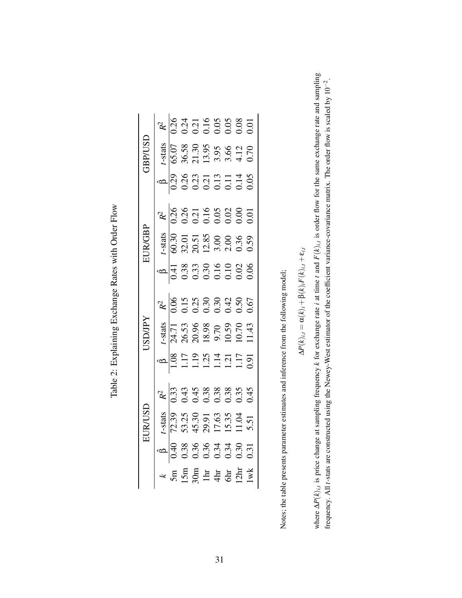| $\frac{1}{2}$ Flore<br>֧֦֧֢֕֓׆֧֛֪֪֪֦֧֦֧֦֧֦֧֦֧֦֧֦֧֧֧֧֧֧֧֦֧֧֧֧֧֧֧֧֧֧֧֧֧֧֧֧֧֧֧֧֧֧֧֧֧֧֧֧֧֝֝֟֓֝֓֝֟֓֝֬֟֓֝֓֓֝֬֓֓֓֜֝֓ |  |
|---------------------------------------------------------------------------------------------------------------|--|
|                                                                                                               |  |
| $\sim$ $\sim$ $D_{\text{of}}$ pc with<br>xplaining Exchange F<br>Ć<br>I                                       |  |
| ı                                                                                                             |  |
| l<br>(<br>Thhle                                                                                               |  |

|                 | $R^2$<br>$\frac{1}{0.24}$<br>$0.21$<br>$0.01$<br>$0.05$<br>$0.05$<br>$0.00$<br>$0.01$                                                                       |        |  |  |                                                                                                                                                             |  |
|-----------------|-------------------------------------------------------------------------------------------------------------------------------------------------------------|--------|--|--|-------------------------------------------------------------------------------------------------------------------------------------------------------------|--|
| <b>GSD/GBL</b>  |                                                                                                                                                             |        |  |  | $\frac{t\text{-stats}}{65.07}$<br>36.58<br>36.58<br>31.39<br>3.95<br>3.64.12<br>4.12                                                                        |  |
|                 | $\begin{array}{c}\n 6 \\  0.29 \\  0.38 \\  0.21 \\  0.31 \\  0.11 \\  0.05 \\  0.05 \\  0.05 \\  0.05 \\  \end{array}$                                     |        |  |  |                                                                                                                                                             |  |
|                 | $rac{R^2}{10.26}$<br>$rac{15}{0.21}$<br>$rac{15}{0.21}$<br>$rac{15}{0.21}$<br>$rac{15}{0.21}$<br>$rac{15}{0.21}$                                            |        |  |  |                                                                                                                                                             |  |
| <b>FUR/GBP</b>  |                                                                                                                                                             |        |  |  | $\frac{t\text{-stats}}{60.30}$<br>$\frac{30.51}{22.51}$<br>$\frac{20.51}{22.50}$<br>$\frac{30.51}{22.50}$<br>$\frac{30.51}{22.50}$<br>$\frac{30.51}{22.50}$ |  |
|                 |                                                                                                                                                             |        |  |  |                                                                                                                                                             |  |
|                 | $R^{2}$<br>$\frac{1}{0.06}$<br>0.15 5 0.30<br>0.30<br>0.42<br>0.67<br>0.67                                                                                  |        |  |  |                                                                                                                                                             |  |
| <b>Adi/CISI</b> |                                                                                                                                                             |        |  |  | $\frac{7.43485}{24.71}$<br>26.53<br>26.53<br>20.98<br>30.59<br>11.43<br>11.43                                                                               |  |
|                 | $\begin{array}{c}\n 6 \\  -1.19 \\  \hline\n 1.19 \\  \hline\n 1.14 \\  \hline\n 1.11 \\  \hline\n 1.11 \\  \hline\n 1.091 \\  \hline\n 0.91\n \end{array}$ |        |  |  |                                                                                                                                                             |  |
|                 | $R^2$<br>$\sqrt{33}$<br>$0.33$<br>$0.45$<br>$0.38$<br>$0.33$<br>$0.45$<br>$0.45$                                                                            |        |  |  |                                                                                                                                                             |  |
| EURUSL          |                                                                                                                                                             |        |  |  | $\frac{72.39}{72.39}$<br>53.25<br>53.25<br>43.90 11.04<br>11.04<br>11.04<br>5.51                                                                            |  |
|                 |                                                                                                                                                             |        |  |  |                                                                                                                                                             |  |
|                 |                                                                                                                                                             | $\sin$ |  |  | $\begin{array}{c} \text{15m} \\ \text{30m} \\ \text{14m} \\ \text{44m} \\ \text{5m} \\ \text{12m} \\ \text{1wk} \end{array}$                                |  |

Notes; the table presents parameter estimates and inference from the following model; Notes; the table presents parameter estimates and inference from the following model;

$$
\Delta P(k)_{i,t} = \alpha(k)_i + \beta(k)_i F(k)_{i,t} + \varepsilon_{i,t}
$$

where  $\Delta P(k)_{i,t}$  is price change at sampling frequency k for exchange rate i at time t and  $F(k)_{i,t}$  is order flow for the same exchange rate and sampling where  $\Delta P(k)_{i,t}$  is price change at sampling frequency k for exchange rate *i* at time t and  $F(k)_{i,t}$  is order flow for the same exchange rate and sampling frequency. All t-stats are constructed using the Newey-West estimator of the coefficient variance-covariance matrix. The order flow is scaled by 10<sup>-2</sup>. frequency. All *t*-stats are constructed using the Newey-West estimator of the coefficient variance-covariance matrix. The order flow is scaled by 10−2.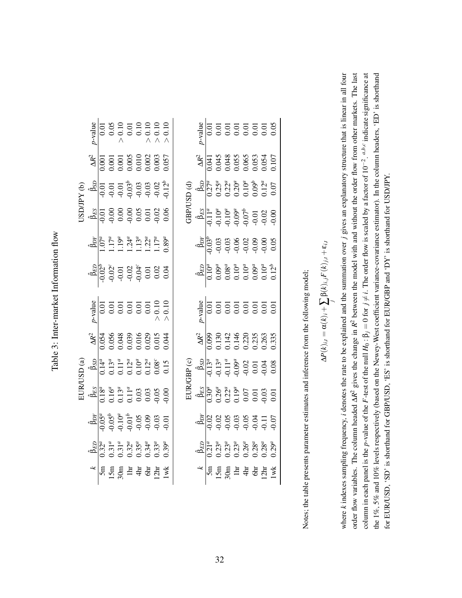| :<br>J                                                                                |  |
|---------------------------------------------------------------------------------------|--|
| -<br>-<br>-<br>-<br>-<br>-                                                            |  |
| ř                                                                                     |  |
| $\ddot{\phantom{0}}$                                                                  |  |
| こうしょうきょう                                                                              |  |
|                                                                                       |  |
| l<br>ï                                                                                |  |
| ֧֧֧֪ׅ֧֧֧֪ׅ֧֧֧֪֪֪֪֪֪֪֪֪֪֪֪֪֪֚֚֚֚֚֚֚֚֚֚֚֚֚֚֚֚֚֚֚֚֚֚֚֚֚֚֚֡֡֡֡֡֝֬֝֡֡֡֡֡֝֬֝֓֝֓֝֬֓֝֓֝֬֓֝֬֝֬ |  |

|      |                                                                                                                                                                                                                                                                                                                                                                                                                                                                                                                                                |  | $\begin{array}{r} \begin{array}{r} \text{4} \text{J} \text{u} \\ \hline 0.01 \\ 0.05 \\ 0.01 \\ 0.01 \\ 0.01 \\ 0.01 \\ 0.01 \\ 0.01 \\ 0.01 \\ 0.01 \\ 0.01 \\ 0.01 \\ 0.01 \\ 0.01 \\ 0.01 \\ 0.01 \\ 0.01 \\ 0.01 \\ 0.01 \\ 0.01 \\ 0.01 \\ 0.01 \\ 0.01 \\ 0.01 \\ 0.01 \\ 0.01 \\ 0.01 \\ 0.01 \\ 0.01 \\ 0.01 \\ 0.01 \\ $                                                                                                                                                                                                                                                                                       |  |  |  |                                                                                                                                                                                                                                                                                                                                                                                                                                                                                                                                                                                                                                            |  |  |                                                                                                                                                                                                                                                                                                                                                                                                                           |  | $\begin{array}{c c} \n \text{age} \\  \hline\n 1 & 0 \\  0 & 0 \\  0 & 0 \\  0 & 0 \\  \end{array} \quad \begin{array}{c} \n \text{age} \\  \begin{array}{c} 0 & 0 \\  0 & 0 \\  0 & 0 \\  0 & 0 \\  0 & 0 \\  0 & 0 \\  0 & 0 \\  0 & 0 \\  0 & 0 \\  0 & 0 \\  0 & 0 \\  0 & 0 \\  0 & 0 \\  0 & 0 \\  0 & 0 \\  0 & 0 \\  0 & 0 \\  0$ |
|------|------------------------------------------------------------------------------------------------------------------------------------------------------------------------------------------------------------------------------------------------------------------------------------------------------------------------------------------------------------------------------------------------------------------------------------------------------------------------------------------------------------------------------------------------|--|-------------------------------------------------------------------------------------------------------------------------------------------------------------------------------------------------------------------------------------------------------------------------------------------------------------------------------------------------------------------------------------------------------------------------------------------------------------------------------------------------------------------------------------------------------------------------------------------------------------------------|--|--|--|--------------------------------------------------------------------------------------------------------------------------------------------------------------------------------------------------------------------------------------------------------------------------------------------------------------------------------------------------------------------------------------------------------------------------------------------------------------------------------------------------------------------------------------------------------------------------------------------------------------------------------------------|--|--|---------------------------------------------------------------------------------------------------------------------------------------------------------------------------------------------------------------------------------------------------------------------------------------------------------------------------------------------------------------------------------------------------------------------------|--|-------------------------------------------------------------------------------------------------------------------------------------------------------------------------------------------------------------------------------------------------------------------------------------------------------------------------------------------|
|      | $\frac{\Delta R^2}{10001}$ $\frac{10001}{0.001}$ $\frac{0.001}{0.001}$ $\frac{0.001}{0.002}$ $\frac{0.002}{0.003}$                                                                                                                                                                                                                                                                                                                                                                                                                             |  |                                                                                                                                                                                                                                                                                                                                                                                                                                                                                                                                                                                                                         |  |  |  | $\frac{\Delta R^2}{1.041}$ $\frac{3.045}{0.043}$ $\frac{3.048}{0.055}$ $\frac{3.048}{0.053}$ $\frac{3.055}{0.054}$                                                                                                                                                                                                                                                                                                                                                                                                                                                                                                                         |  |  |                                                                                                                                                                                                                                                                                                                                                                                                                           |  |                                                                                                                                                                                                                                                                                                                                           |
| (YY) | $\begin{array}{c}\n\stackrel{5}{\triangle} & 0 \\ \stackrel{1}{\triangle} & 0 \\ \stackrel{1}{\triangle} & 0 \\ \stackrel{1}{\triangle} & 0 \\ \stackrel{1}{\triangle} & 0 \\ \stackrel{1}{\triangle} & 0 \\ \stackrel{1}{\triangle} & 0 \\ \stackrel{1}{\triangle} & 0 \\ \stackrel{1}{\triangle} & 0 \\ \stackrel{1}{\triangle} & 0 \\ \stackrel{1}{\triangle} & 0 \\ \stackrel{1}{\triangle} & 0 \\ \stackrel{1}{\triangle} & 0 \\ \stackrel{1}{\triangle} & 0 \\ \stackrel{1}{\triangle} & 0 \\ \stackrel{1}{\triangle} & 0 \\ \stackrel{$ |  |                                                                                                                                                                                                                                                                                                                                                                                                                                                                                                                                                                                                                         |  |  |  | $\overrightarrow{AB}$ (d)<br>$\overrightarrow{AB}$<br>$\overrightarrow{AB}$<br>$\overrightarrow{AB}$<br>$\overrightarrow{AB}$<br>$\overrightarrow{CD}$<br>$\overrightarrow{CD}$<br>$\overrightarrow{CD}$<br>$\overrightarrow{CD}$<br>$\overrightarrow{CD}$<br>$\overrightarrow{CD}$<br>$\overrightarrow{CD}$<br>$\overrightarrow{CD}$<br>$\overrightarrow{CD}$<br>$\overrightarrow{CD}$<br>$\overrightarrow{CD}$<br>$\overrightarrow{CD}$<br>$\overrightarrow{CD}$<br>$\overrightarrow{CD}$<br>$\overrightarrow{CD}$<br>$\overrightarrow{CD}$<br>$\overrightarrow{CD}$                                                                     |  |  |                                                                                                                                                                                                                                                                                                                                                                                                                           |  |                                                                                                                                                                                                                                                                                                                                           |
|      |                                                                                                                                                                                                                                                                                                                                                                                                                                                                                                                                                |  |                                                                                                                                                                                                                                                                                                                                                                                                                                                                                                                                                                                                                         |  |  |  | $\frac{1}{2}$<br>$\frac{1}{2}$<br>$\frac{1}{2}$<br>$\frac{1}{2}$<br>$\frac{1}{2}$<br>$\frac{1}{2}$<br>$\frac{1}{2}$<br>$\frac{1}{2}$<br>$\frac{1}{2}$<br>$\frac{1}{2}$<br>$\frac{1}{2}$<br>$\frac{1}{2}$<br>$\frac{1}{2}$<br>$\frac{1}{2}$<br>$\frac{1}{2}$<br>$\frac{1}{2}$<br>$\frac{1}{2}$<br>$\frac{1}{2}$<br>$\frac{1}{2}$<br>$\frac{1}{2}$<br>                                                                                                                                                                                                                                                                                       |  |  |                                                                                                                                                                                                                                                                                                                                                                                                                           |  |                                                                                                                                                                                                                                                                                                                                           |
|      | $\begin{array}{r}\n\hat{\mathbf{b}}_{\text{DT}} \\ \hline\n1.07^a \\ 1.17^a \\ 1.19^a \\ 1.24^a \\ 1.32^a \\ 1.17^a \\ 1.17^a \\ 1.17^a \\ 1.17^a \\ 1.17^a \\ 1.17^a \\ 1.17^a \\ 1.17^a \\ 1.17^a \\ 1.17^a \\ 1.17^a \\ 1.17^a \\ 1.17^a \\ 1.17^a \\ 1.17^a \\ 1.17^a \\ 1.17^a \\ 1.17^a \\ 1.17^a \\ 1.17^a \\ 1.17^a \\ 1.17^a \\ 1.17$                                                                                                                                                                                                 |  |                                                                                                                                                                                                                                                                                                                                                                                                                                                                                                                                                                                                                         |  |  |  |                                                                                                                                                                                                                                                                                                                                                                                                                                                                                                                                                                                                                                            |  |  |                                                                                                                                                                                                                                                                                                                                                                                                                           |  |                                                                                                                                                                                                                                                                                                                                           |
|      | $\begin{array}{c}\n\hat{\mathbf{a}}_{E2}^{B} \\ \hat{\mathbf{a}}_{G2}^{B} \\ \hat{\mathbf{c}}_{G1}^{B} \\ \hat{\mathbf{c}}_{G1}^{B} \\ \hat{\mathbf{c}}_{G2}^{B} \\ \hat{\mathbf{c}}_{G1}^{B} \\ \hat{\mathbf{c}}_{G1}^{B} \\ \hat{\mathbf{c}}_{G2}^{B} \\ \hat{\mathbf{c}}_{G1}^{B} \\ \hat{\mathbf{c}}_{G2}^{B} \\ \hat{\mathbf{c}}_{G1}^{B} \\ \hat{\mathbf{c}}_{G2}^{B} \\ \hat{\mathbf{c}}_{G1}^{B} \\ \hat{\math$                                                                                                                        |  |                                                                                                                                                                                                                                                                                                                                                                                                                                                                                                                                                                                                                         |  |  |  | $\begin{array}{r} \left( \mathring{\Phi}_{ED}^{ED} \right) \\ \hline 0.10^a \\ 0.09^a \\ 0.10^a \\ 0.10^a \\ 0.10^a \\ 0.10^a \\ 0.10^a \\ 0.12^b \end{array}$                                                                                                                                                                                                                                                                                                                                                                                                                                                                             |  |  |                                                                                                                                                                                                                                                                                                                                                                                                                           |  |                                                                                                                                                                                                                                                                                                                                           |
|      |                                                                                                                                                                                                                                                                                                                                                                                                                                                                                                                                                |  | $\begin{array}{c c}\n\text{age} \\ \bullet \text{age} \\ \bullet \text{age} \\ \bullet \text{age} \\ \bullet \text{age} \\ \bullet \text{age} \\ \bullet \text{age} \\ \bullet \text{age} \\ \bullet \text{age} \\ \bullet \text{age} \\ \bullet \text{age} \\ \bullet \text{age} \\ \bullet \text{age} \\ \bullet \text{age} \\ \bullet \text{age} \\ \bullet \text{age} \\ \bullet \text{age} \\ \bullet \text{age} \\ \bullet \text{age} \\ \bullet \text{age} \\ \bullet \text{age} \\ \bullet \text{age} \\ \bullet \text{age} \\ \bullet \text{age} \\ \bullet \text{age} \\ \bullet \text{age} \\ \bullet \text$ |  |  |  |                                                                                                                                                                                                                                                                                                                                                                                                                                                                                                                                                                                                                                            |  |  | $\begin{array}{c c} \n \text{a} & \text{b} & \text{c} & \text{d} & \text{d} & \text{d} \\ \n \text{b} & \text{c} & \text{d} & \text{d} & \text{d} & \text{d} & \text{d} & \text{d} \\ \n \text{d} & \text{e} & \text{f} & \text{f} & \text{f} & \text{f} & \text{f} & \text{f} \\ \n \text{f} & \text{f} & \text{f} & \text{f} & \text{f} & \text{f} & \text{f} & \text{f} \\ \n \text{f} & \text{f} & \text{f} & \text{$ |  |                                                                                                                                                                                                                                                                                                                                           |
|      | $\frac{\Delta R^2}{10.054}$ $\frac{3.056}{0.048}$ $\frac{3.056}{0.039}$ $\frac{3.056}{0.015}$ $\frac{3.056}{0.015}$ $\frac{3.056}{0.044}$                                                                                                                                                                                                                                                                                                                                                                                                      |  |                                                                                                                                                                                                                                                                                                                                                                                                                                                                                                                                                                                                                         |  |  |  | $\frac{\Delta R^2}{1099}$ $\frac{130}{0.142}$ $\frac{142}{0.146}$ $\frac{142}{0.220}$ $\frac{2035}{0.335}$                                                                                                                                                                                                                                                                                                                                                                                                                                                                                                                                 |  |  |                                                                                                                                                                                                                                                                                                                                                                                                                           |  |                                                                                                                                                                                                                                                                                                                                           |
|      | $SD(3)$<br>$\overline{O(3)}$<br>$\overline{O(3)}$<br>$\overline{O(3)}$<br>$\overline{O(3)}$<br>$\overline{O(3)}$<br>$\overline{O(3)}$<br>$\overline{O(3)}$<br>$\overline{O(3)}$<br>$\overline{O(3)}$<br>$\overline{O(3)}$<br>$\overline{O(3)}$<br>$\overline{O(3)}$<br>$\overline{O(3)}$                                                                                                                                                                                                                                                       |  |                                                                                                                                                                                                                                                                                                                                                                                                                                                                                                                                                                                                                         |  |  |  | $\frac{26}{37}$<br>$\frac{13}{13}$<br>$\frac{13}{13}$<br>$\frac{3}{13}$<br>$\frac{11}{13}$<br>$\frac{11}{13}$<br>$\frac{11}{13}$<br>$\frac{11}{13}$<br>$\frac{11}{13}$<br>$\frac{11}{13}$<br>$\frac{11}{13}$<br>$\frac{11}{13}$<br>$\frac{11}{13}$<br>$\frac{11}{13}$<br>$\frac{11}{13}$<br>$\frac{11}{13}$<br>$\frac{11}{13}$<br>                                                                                                                                                                                                                                                                                                         |  |  |                                                                                                                                                                                                                                                                                                                                                                                                                           |  |                                                                                                                                                                                                                                                                                                                                           |
|      | EUR<br>$\frac{\hat{\beta}_{ES}}{0.18^a}$<br>$\frac{\hat{\beta}_{ES}}{0.15^a}$<br>0.11 <sup>4</sup><br>0.03<br>0.05<br>9.00                                                                                                                                                                                                                                                                                                                                                                                                                     |  |                                                                                                                                                                                                                                                                                                                                                                                                                                                                                                                                                                                                                         |  |  |  | $\begin{array}{l} \mathop{\hbox{\rm EU}}\limits_{\mathbf{B}_{ES}} & \mathop{\hbox{\rm E}}\limits_{(0,30^a)} \\ \mathop{\hbox{\rm SL}}\limits_{(0,30^a)} & \mathop{\hbox{\rm SL}}\limits_{(0,12^a)} \\ 0.19^a & 0.000 \\ \end{array}$                                                                                                                                                                                                                                                                                                                                                                                                       |  |  |                                                                                                                                                                                                                                                                                                                                                                                                                           |  |                                                                                                                                                                                                                                                                                                                                           |
|      | $\begin{array}{c}\n\hat{\mathbf{a}}_{\mathbf{B}} \\ \hat{\mathbf{b}}_{\mathbf{S}} \\ \hat{\mathbf{c}}_{\mathbf{S}} \\ \hat{\mathbf{c}}_{\mathbf{S}} \\ \hat{\mathbf{c}}_{\mathbf{S}} \\ \hat{\mathbf{c}}_{\mathbf{S}} \\ \hat{\mathbf{c}}_{\mathbf{S}} \\ \hat{\mathbf{c}}_{\mathbf{S}} \\ \hat{\mathbf{c}}_{\mathbf{S}} \\ \hat{\mathbf{c}}_{\mathbf{S}} \\ \hat{\mathbf{c}}_{\mathbf{S}} \\ \hat{\mathbf{c}}_{\mathbf{S}} \\ \hat{\mathbf{c}}_{\mathbf{S}} \\ \hat{\math$                                                                    |  |                                                                                                                                                                                                                                                                                                                                                                                                                                                                                                                                                                                                                         |  |  |  | $\begin{array}{c}\n\hat{\underline{\mathbb{A}}} & \hat{\underline{\mathbb{A}}} & \hat{\underline{\mathbb{A}}} & \hat{\underline{\mathbb{A}}} & \hat{\underline{\mathbb{A}}} \\ \hat{\underline{\mathbb{A}}} & \hat{\underline{\mathbb{A}}} & \hat{\underline{\mathbb{A}}} & \hat{\underline{\mathbb{A}}} & \hat{\underline{\mathbb{A}}} & \hat{\underline{\mathbb{A}}} \\ \hat{\underline{\mathbb{A}}} & \hat{\underline{\mathbb{A}}} & \hat{\underline{\mathbb{A}}} & \hat{\underline{\mathbb{A}}} & \hat{\underline{\mathbb{A}}} & \hat{\underline{\mathbb{A}}} & \hat{\underline{\mathbb{A}}} \\ \hat{\underline{\mathbb{A}}} & \hat{\$ |  |  |                                                                                                                                                                                                                                                                                                                                                                                                                           |  |                                                                                                                                                                                                                                                                                                                                           |
|      | $\begin{array}{c}\n\hat{\mathbf{b}}_{ED} \\ 0.37^a \\ 0.31^a \\ 0.31^a \\ 0.32^a \\ 0.33^a \\ 0.33^a \\ 0.39^a\n\end{array}$                                                                                                                                                                                                                                                                                                                                                                                                                   |  |                                                                                                                                                                                                                                                                                                                                                                                                                                                                                                                                                                                                                         |  |  |  | $\begin{array}{c}\n\hat{\beta}_{ED} \\ 0.21^a \\ 0.23^a \\ 0.23^a \\ 0.23^a \\ 0.28^a \\ 0.28^a \\ 0.29^a\n\end{array}$                                                                                                                                                                                                                                                                                                                                                                                                                                                                                                                    |  |  |                                                                                                                                                                                                                                                                                                                                                                                                                           |  |                                                                                                                                                                                                                                                                                                                                           |
|      | $\frac{k}{5}$ = $\frac{k}{10}$ = $\frac{k}{10}$ = $\frac{k}{10}$ = $\frac{k}{10}$ = $\frac{k}{10}$ = $\frac{k}{10}$ = $\frac{k}{10}$ = $\frac{k}{10}$ = $\frac{k}{10}$ = $\frac{k}{10}$ = $\frac{k}{10}$ = $\frac{k}{10}$ = $\frac{k}{10}$ = $\frac{k}{10}$ = $\frac{k}{10}$ = $\frac{k}{10}$ = $\frac{k}{10}$ = $\frac{k}{1$                                                                                                                                                                                                                  |  |                                                                                                                                                                                                                                                                                                                                                                                                                                                                                                                                                                                                                         |  |  |  |                                                                                                                                                                                                                                                                                                                                                                                                                                                                                                                                                                                                                                            |  |  | $\frac{1}{2}$ $\frac{1}{2}$ $\frac{1}{2}$ $\frac{1}{2}$ $\frac{1}{2}$ $\frac{1}{2}$ $\frac{1}{2}$ $\frac{1}{2}$ $\frac{1}{2}$ $\frac{1}{2}$ $\frac{1}{2}$ $\frac{1}{2}$ $\frac{1}{2}$ $\frac{1}{2}$ $\frac{1}{2}$ $\frac{1}{2}$ $\frac{1}{2}$ $\frac{1}{2}$ $\frac{1}{2}$ $\frac{1}{2}$ $\frac{1}{2}$ $\frac{1}{2}$                                                                                                       |  |                                                                                                                                                                                                                                                                                                                                           |

Notes; the table presents parameter estimates and inference from the following model; Notes; the table presents parameter estimates and inference from the following model;

$$
\Delta P(k)_{i,t} = \alpha(k)_i + \sum_j \beta(k)_{i,j} F(k)_{j,t} + \varepsilon_{i,t}
$$

column in each panel is the *p*-value of the *F*-test of the null  $H_0: \beta_j = 0$  for  $j \neq i$ . The order flow is scaled by a factor of  $10^{-2}$ , <sup>a,b,c</sup> indicate significance at where k indexes sampling frequency, i denotes the rate to be explained and the summation over j gives an explanatory structure that is linear in all four order flow variables. The column headed  $\Delta R^2$  gives the change in  $R^2$  between the model with and without the order flow from other markets. The last the 1%, 5% and 10% levels respectively (based on the Newey-West coefficient variance-covariance estimator). In the column headers, 'ED' is shorthand column in each panel is the *p*-value of the *F*-test of the null  $H_0: \beta_j = 0$  for  $j \neq i$ . The order flow is scaled by a factor of  $10^{-2}$ . <sup>a,b,c</sup> indicate significance at where *k* indexes sampling frequency, *i* denotes the rate to be explained and the summation over *j* gives an explanatory structure that is linear in all four order flow variables. The column headed ∆*R*2 gives the change in *R*2 between the model with and without the order flow from other markets. The last the 1%, 5% and 10% levels respectively (based on the Newey-West coefficient variance-covariance estimator). In the column headers, 'ED' is shorthand for EUR/USD, 'SD' is shorthand for GBP/USD, 'ES' is shorthand for EUR/GBP and 'DY' is shorthand for USD/JPY. for EUR/USD, 'SD' is shorthand for GBP/USD, 'ES' is shorthand for EUR/GBP and 'DY' is shorthand for USD/JPY.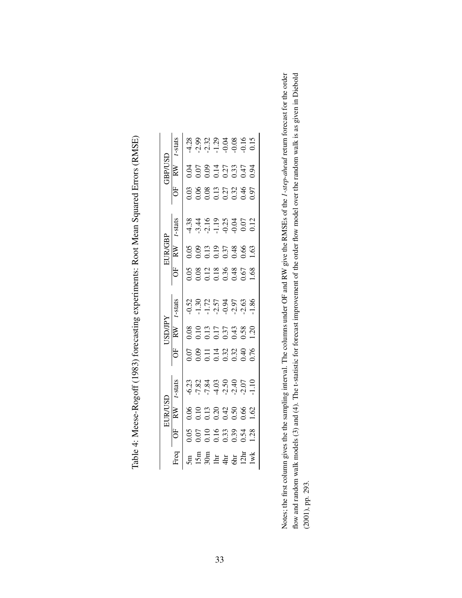|                | -stats                  |      |      | 8 9 9 9 9 9 9 9 9<br>4 9 9 9 9 9 9 9 1<br>4 9 9 9 9 9 1                                             |  |  |  |
|----------------|-------------------------|------|------|-----------------------------------------------------------------------------------------------------|--|--|--|
| <b>TSD/dBC</b> | RW                      |      |      | $0.05$<br>$0.27$<br>$0.034$<br>$0.0000$<br>$0.0000$                                                 |  |  |  |
|                |                         |      |      | 0<br>0<br>0 0 0 0 0 0 0 0 0<br>0 0 0 0 0 0 0 0                                                      |  |  |  |
|                | $r$ -stats              |      |      |                                                                                                     |  |  |  |
| <b>FUR/GBP</b> | $\overline{\mathbb{R}}$ |      |      | $\begin{array}{c} 0.05 \\ 0.09 \\ 0.13 \\ 0.51 \\ 0.51 \\ 0.57 \\ 0.63 \\ 0.63 \\ 1.63 \end{array}$ |  |  |  |
|                | Ë                       |      |      |                                                                                                     |  |  |  |
|                | -stats                  |      |      |                                                                                                     |  |  |  |
| <b>ISD/JPY</b> | RW                      |      |      | $\begin{array}{c} 0.08 \\ 0.10 \\ 0.11 \\ 0.17 \\ 0.37 \\ 0.37 \\ 0.38 \\ 0.20 \\ 1.20 \end{array}$ |  |  |  |
|                | Ë                       |      |      |                                                                                                     |  |  |  |
|                | -stats                  |      |      |                                                                                                     |  |  |  |
| EUR/USI        |                         | 0.06 | 0.10 | $\begin{array}{c} 0.13 \\ 0.20 \\ 0.42 \\ 0.50 \\ 0.62 \\ 1.62 \end{array}$                         |  |  |  |
|                | $\overline{0}$          |      |      | $0.195$<br>$0.195$<br>$0.395$<br>$0.38$<br>$0.138$                                                  |  |  |  |
|                |                         |      |      | $\frac{15m}{36m} = \frac{15m}{4} = \frac{15m}{4} = \frac{15m}{4}$                                   |  |  |  |

Table 4: Meese-Rogoff (1983) forecasting experiments: Root Mean Squared Errors (RMSE) Table 4: Meese-Rogoff (1983) forecasting experiments: Root Mean Squared Errors (RMSE)

Notes; the first column gives the the sampling interval. The columns under OF and RW give the RMSEs of the 1-step-ahead return forecast for the order flow and random walk models (3) and (4). The t-statistic for forecast improvement of the order flow model over the random walk is as given in Diebold Notes; the first column gives the the sampling interval. The columns under OF and RW give the RMSEs of the *1-step-ahead* return forecast for the order flow and random walk models (3) and (4). The t-statistic for forecast improvement of the order flow model over the random walk is as given in Diebold  $(2001)$ , pp. 293. (2001), pp. 293.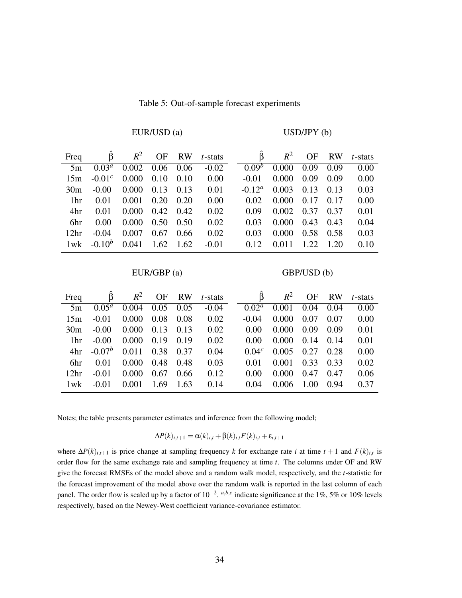| Freq             | $\hat{\beta}$ |       |                   |      | $R^2$ OF RW <i>t</i> -stats | $\ddot{\mathsf{B}}$ | $R^2$ | OF    | <b>RW</b> | $t$ -stats |
|------------------|---------------|-------|-------------------|------|-----------------------------|---------------------|-------|-------|-----------|------------|
| 5m               | $0.03^a$      | 0.002 | 0.06              | 0.06 | $-0.02$                     | 0.09 <sup>b</sup>   | 0.000 | 0.09  | 0.09      | 0.00       |
| 15m              | $-0.01c$      | 0.000 | 0.10              | 0.10 | 0.00                        | $-0.01$             | 0.000 | 0.09  | 0.09      | 0.00       |
| 30 <sub>m</sub>  | $-0.00$       | 0.000 | 0.13              | 0.13 | 0.01                        | $-0.12^a$           | 0.003 | 0.13  | 0.13      | 0.03       |
| 1 <sup>hr</sup>  | 0.01          | 0.001 | 0.20              | 0.20 | 0.00                        | 0.02                | 0.000 | 0.17  | 0.17      | 0.00       |
| 4hr              | 0.01          | 0.000 | $0.42 \quad 0.42$ |      | 0.02                        | 0.09                | 0.002 | 0.37  | 0.37      | 0.01       |
| 6hr              | 0.00          | 0.000 | 0.50              | 0.50 | 0.02                        | 0.03                | 0.000 | 0.43  | 0.43      | 0.04       |
| 12 <sup>hr</sup> | $-0.04$       | 0.007 | 0.67              | 0.66 | 0.02                        | 0.03                | 0.000 | 0.58  | 0.58      | 0.03       |
| $1$ wk           | $-0.10^{b}$   | 0.041 | 1.62              | 1.62 | $-0.01$                     | 0.12                | 0.011 | 1.22. | 1.20      | 0.10       |

#### Table 5: Out-of-sample forecast experiments

EUR/USD (a) USD/JPY (b)

#### EUR/GBP (a) GBP/USD (b)

| Freq             |           | $R^2$ | OF   | <b>RW</b> | $t$ -stats | B                 | $R^2$ | OF   | <b>RW</b> | $t$ -stats |
|------------------|-----------|-------|------|-----------|------------|-------------------|-------|------|-----------|------------|
| 5m               | $0.05^a$  | 0.004 | 0.05 | 0.05      | $-0.04$    | $0.02^a$          | 0.001 | 0.04 | 0.04      | 0.00       |
| 15m              | $-0.01$   | 0.000 | 0.08 | 0.08      | 0.02       | $-0.04$           | 0.000 | 0.07 | 0.07      | 0.00       |
| 30 <sub>m</sub>  | $-0.00$   | 0.000 | 0.13 | 0.13      | 0.02       | 0.00              | 0.000 | 0.09 | 0.09      | 0.01       |
| 1 <sup>hr</sup>  | $-0.00$   | 0.000 | 0.19 | 0.19      | 0.02       | 0.00              | 0.000 | 0.14 | 0.14      | 0.01       |
| 4hr              | $-0.07^b$ | 0.011 | 0.38 | 0.37      | 0.04       | 0.04 <sup>c</sup> | 0.005 | 0.27 | 0.28      | 0.00       |
| 6hr              | 0.01      | 0.000 | 0.48 | 0.48      | 0.03       | 0.01              | 0.001 | 0.33 | 0.33      | 0.02       |
| 12 <sup>hr</sup> | $-0.01$   | 0.000 | 0.67 | 0.66      | 0.12       | 0.00              | 0.000 | 0.47 | 0.47      | 0.06       |
| 1wk              | $-0.01$   | 0.001 | 1.69 | 1.63      | 0.14       | 0.04              | 0.006 | 1.00 | 0.94      | 0.37       |

Notes; the table presents parameter estimates and inference from the following model;

$$
\Delta P(k)_{i,t+1} = \alpha(k)_{i,t} + \beta(k)_{i,t} F(k)_{i,t} + \varepsilon_{i,t+1}
$$

where  $\Delta P(k)_{i,t+1}$  is price change at sampling frequency *k* for exchange rate *i* at time  $t+1$  and  $F(k)_{i,t}$  is order flow for the same exchange rate and sampling frequency at time *t*. The columns under OF and RW give the forecast RMSEs of the model above and a random walk model, respectively, and the *t*-statistic for the forecast improvement of the model above over the random walk is reported in the last column of each panel. The order flow is scaled up by a factor of  $10^{-2}$ . <sup>*a,b,c*</sup> indicate significance at the 1%, 5% or 10% levels respectively, based on the Newey-West coefficient variance-covariance estimator.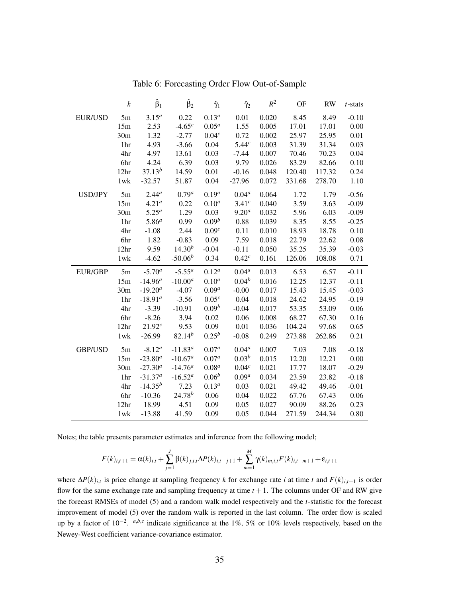|                | $\boldsymbol{k}$ | $\hat{\beta}_1$ | $\hat{\beta}_2$ | $\hat{\gamma}_1$  | $\hat{\gamma}_2$  | $R^2$ | <b>OF</b> | <b>RW</b> | $t$ -stats |
|----------------|------------------|-----------------|-----------------|-------------------|-------------------|-------|-----------|-----------|------------|
| <b>EUR/USD</b> | $5m$             | $3.15^{a}$      | 0.22            | $0.13^{a}$        | 0.01              | 0.020 | 8.45      | 8.49      | $-0.10$    |
|                | 15m              | 2.53            | $-4.65c$        | $0.05^a$          | 1.55              | 0.005 | 17.01     | 17.01     | 0.00       |
|                | 30 <sub>m</sub>  | 1.32            | $-2.77$         | 0.04 <sup>c</sup> | 0.72              | 0.002 | 25.97     | 25.95     | 0.01       |
|                | 1hr              | 4.93            | $-3.66$         | 0.04              | 5.44 <sup>c</sup> | 0.003 | 31.39     | 31.34     | 0.03       |
|                | 4hr              | 4.97            | 13.61           | 0.03              | $-7.44$           | 0.007 | 70.46     | 70.23     | 0.04       |
|                | 6hr              | 4.24            | 6.39            | 0.03              | 9.79              | 0.026 | 83.29     | 82.66     | 0.10       |
|                | 12 <sup>hr</sup> | $37.13^{b}$     | 14.59           | 0.01              | $-0.16$           | 0.048 | 120.40    | 117.32    | 0.24       |
|                | $1$ w $k$        | $-32.57$        | 51.87           | 0.04              | $-27.96$          | 0.072 | 331.68    | 278.70    | 1.10       |
| <b>USD/JPY</b> | 5m               | $2.44^{a}$      | $0.79^a$        | $0.19^a$          | $0.04^a$          | 0.064 | 1.72      | 1.79      | $-0.56$    |
|                | 15m              | $4.21^a$        | 0.22            | $0.10^a$          | 3.41 <sup>c</sup> | 0.040 | 3.59      | 3.63      | $-0.09$    |
|                | 30 <sub>m</sub>  | $5.25^a$        | 1.29            | 0.03              | $9.20^{a}$        | 0.032 | 5.96      | 6.03      | $-0.09$    |
|                | 1hr              | $5.86^{a}$      | 0.99            | $0.09^b$          | 0.88              | 0.039 | 8.35      | 8.55      | $-0.25$    |
|                | 4hr              | $-1.08$         | 2.44            | 0.09 <sup>c</sup> | 0.11              | 0.010 | 18.93     | 18.78     | 0.10       |
|                | 6hr              | 1.82            | $-0.83$         | 0.09              | 7.59              | 0.018 | 22.79     | 22.62     | 0.08       |
|                | 12 <sup>hr</sup> | 9.59            | $14.30^{b}$     | $-0.04$           | $-0.11$           | 0.050 | 35.25     | 35.39     | $-0.03$    |
|                | $1$ w $k$        | $-4.62$         | $-50.06b$       | 0.34              | 0.42 <sup>c</sup> | 0.161 | 126.06    | 108.08    | 0.71       |
| <b>EUR/GBP</b> | 5m               | $-5.70^a$       | $-5.55^a$       | $0.12^a$          | $0.04^a$          | 0.013 | 6.53      | 6.57      | $-0.11$    |
|                | 15m              | $-14.96^a$      | $-10.00^a$      | $0.10^{a}$        | $0.04^{b}$        | 0.016 | 12.25     | 12.37     | $-0.11$    |
|                | 30 <sub>m</sub>  | $-19.20^{a}$    | $-4.07$         | $0.09^a$          | $-0.00$           | 0.017 | 15.43     | 15.45     | $-0.03$    |
|                | 1hr              | $-18.91^a$      | $-3.56$         | 0.05 <sup>c</sup> | 0.04              | 0.018 | 24.62     | 24.95     | $-0.19$    |
|                | 4hr              | $-3.39$         | $-10.91$        | $0.09^b$          | $-0.04$           | 0.017 | 53.35     | 53.09     | 0.06       |
|                | 6hr              | $-8.26$         | 3.94            | 0.02              | 0.06              | 0.008 | 68.27     | 67.30     | 0.16       |
|                | 12 <sup>hr</sup> | $21.92^{c}$     | 9.53            | 0.09              | 0.01              | 0.036 | 104.24    | 97.68     | 0.65       |
|                | $1$ w $k$        | $-26.99$        | $82.14^{b}$     | $0.25^{b}$        | $-0.08$           | 0.249 | 273.88    | 262.86    | 0.21       |
| <b>GBP/USD</b> | 5m               | $-8.12^a$       | $-11.83^{a}$    | $0.07^{a}$        | $0.04^a$          | 0.007 | 7.03      | 7.08      | $-0.18$    |
|                | 15m              | $-23.80^{a}$    | $-10.67^a$      | $0.07^a$          | $0.03^{b}$        | 0.015 | 12.20     | 12.21     | 0.00       |
|                | 30m              | $-27.30^{a}$    | $-14.76^a$      | $0.08^a$          | 0.04 <sup>c</sup> | 0.021 | 17.77     | 18.07     | $-0.29$    |
|                | 1hr              | $-31.37a$       | $-16.52^a$      | $0.06^b$          | $0.09^a$          | 0.034 | 23.59     | 23.82     | $-0.18$    |
|                | 4hr              | $-14.35^{b}$    | 7.23            | $0.13^{a}$        | 0.03              | 0.021 | 49.42     | 49.46     | $-0.01$    |
|                | 6hr              | $-10.36$        | $24.78^{b}$     | 0.06              | 0.04              | 0.022 | 67.76     | 67.43     | 0.06       |
|                | 12 <sup>hr</sup> | 18.99           | 4.51            | 0.09              | 0.05              | 0.027 | 90.09     | 88.26     | 0.23       |
|                | $1$ w $k$        | $-13.88$        | 41.59           | 0.09              | 0.05              | 0.044 | 271.59    | 244.34    | 0.80       |

Table 6: Forecasting Order Flow Out-of-Sample

Notes; the table presents parameter estimates and inference from the following model;

$$
F(k)_{i,t+1} = \alpha(k)_{i,t} + \sum_{j=1}^{J} \beta(k)_{j,i,t} \Delta P(k)_{i,t-j+1} + \sum_{m=1}^{M} \gamma(k)_{m,i,t} F(k)_{i,t-m+1} + \varepsilon_{i,t+1}
$$

where ∆*P*(*k*)*i*,*<sup>t</sup>* is price change at sampling frequency *k* for exchange rate *i* at time *t* and *F*(*k*)*i*,*t*+<sup>1</sup> is order flow for the same exchange rate and sampling frequency at time  $t + 1$ . The columns under OF and RW give the forecast RMSEs of model (5) and a random walk model respectively and the *t*-statistic for the forecast improvement of model (5) over the random walk is reported in the last column. The order flow is scaled up by a factor of 10<sup>-2</sup>. <sup>*a,b,c*</sup> indicate significance at the 1%, 5% or 10% levels respectively, based on the Newey-West coefficient variance-covariance estimator.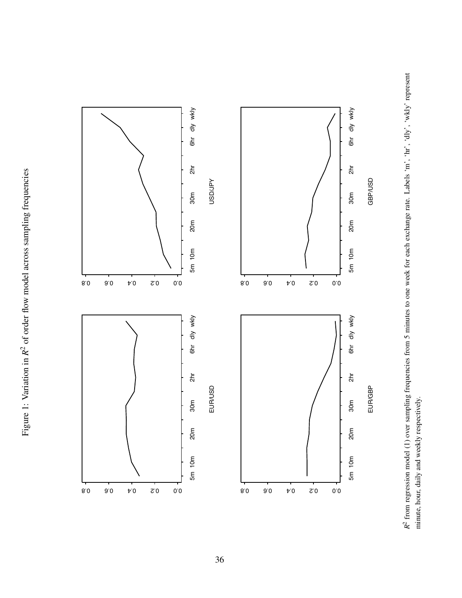